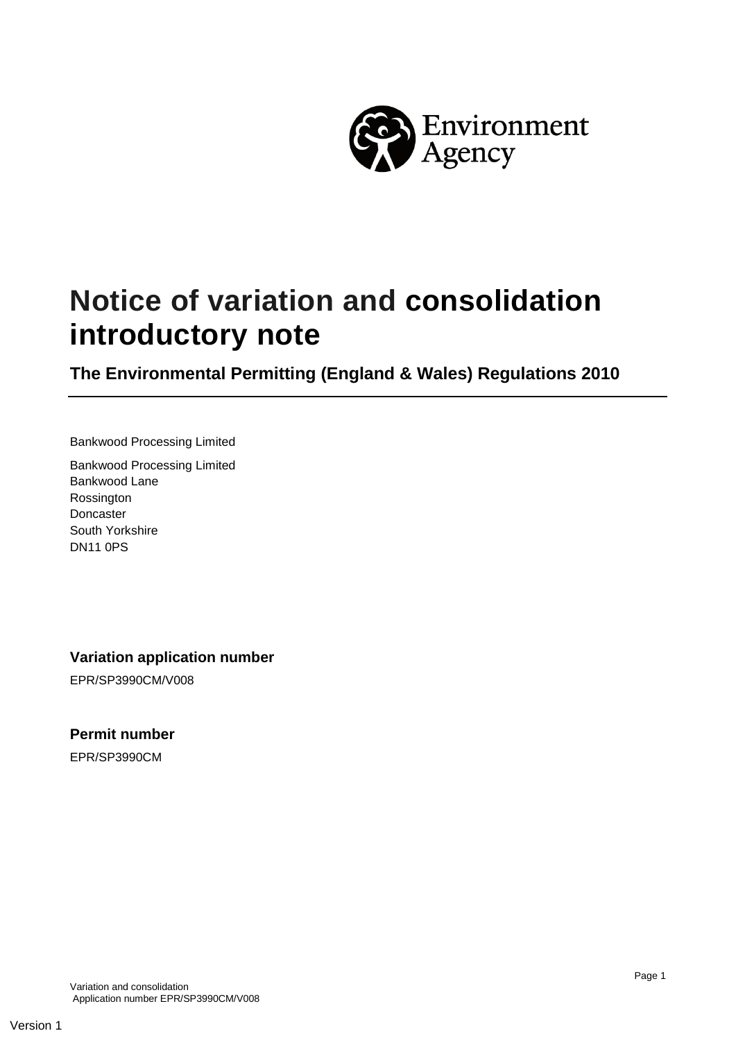

# **Notice of variation and consolidation introductory note**

**The Environmental Permitting (England & Wales) Regulations 2010**

Bankwood Processing Limited

Bankwood Processing Limited Bankwood Lane Rossington Doncaster South Yorkshire DN11 0PS

#### **Variation application number**

EPR/SP3990CM/V008

#### **Permit number**

EPR/SP3990CM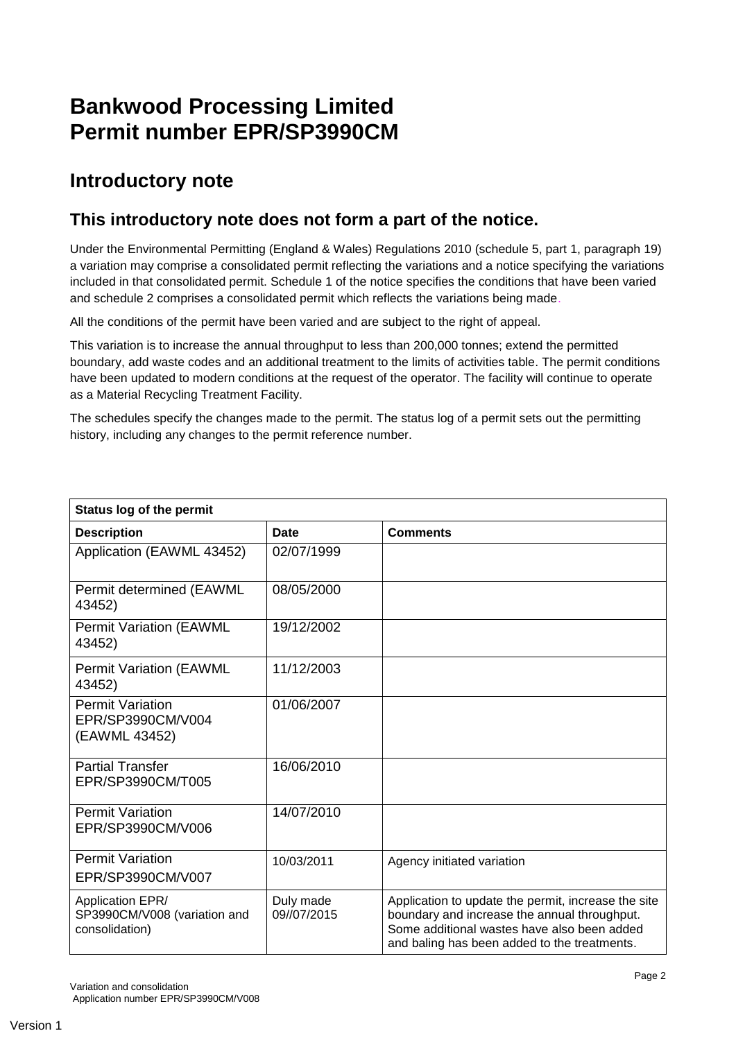# **Bankwood Processing Limited Permit number EPR/SP3990CM**

## **Introductory note**

### **This introductory note does not form a part of the notice.**

Under the Environmental Permitting (England & Wales) Regulations 2010 (schedule 5, part 1, paragraph 19) a variation may comprise a consolidated permit reflecting the variations and a notice specifying the variations included in that consolidated permit. Schedule 1 of the notice specifies the conditions that have been varied and schedule 2 comprises a consolidated permit which reflects the variations being made.

All the conditions of the permit have been varied and are subject to the right of appeal.

This variation is to increase the annual throughput to less than 200,000 tonnes; extend the permitted boundary, add waste codes and an additional treatment to the limits of activities table. The permit conditions have been updated to modern conditions at the request of the operator. The facility will continue to operate as a Material Recycling Treatment Facility.

The schedules specify the changes made to the permit. The status log of a permit sets out the permitting history, including any changes to the permit reference number.

| <b>Status log of the permit</b>                                    |                          |                                                                                                                                                                                                    |  |
|--------------------------------------------------------------------|--------------------------|----------------------------------------------------------------------------------------------------------------------------------------------------------------------------------------------------|--|
| <b>Description</b>                                                 | Date                     | <b>Comments</b>                                                                                                                                                                                    |  |
| Application (EAWML 43452)                                          | 02/07/1999               |                                                                                                                                                                                                    |  |
| Permit determined (EAWML<br>43452)                                 | 08/05/2000               |                                                                                                                                                                                                    |  |
| <b>Permit Variation (EAWML</b><br>43452)                           | 19/12/2002               |                                                                                                                                                                                                    |  |
| <b>Permit Variation (EAWML</b><br>43452)                           | 11/12/2003               |                                                                                                                                                                                                    |  |
| <b>Permit Variation</b><br>EPR/SP3990CM/V004<br>(EAWML 43452)      | 01/06/2007               |                                                                                                                                                                                                    |  |
| <b>Partial Transfer</b><br>EPR/SP3990CM/T005                       | 16/06/2010               |                                                                                                                                                                                                    |  |
| <b>Permit Variation</b><br>EPR/SP3990CM/V006                       | 14/07/2010               |                                                                                                                                                                                                    |  |
| <b>Permit Variation</b><br>EPR/SP3990CM/V007                       | 10/03/2011               | Agency initiated variation                                                                                                                                                                         |  |
| Application EPR/<br>SP3990CM/V008 (variation and<br>consolidation) | Duly made<br>09//07/2015 | Application to update the permit, increase the site<br>boundary and increase the annual throughput.<br>Some additional wastes have also been added<br>and baling has been added to the treatments. |  |

Variation and consolidation Application number EPR/SP3990CM/V008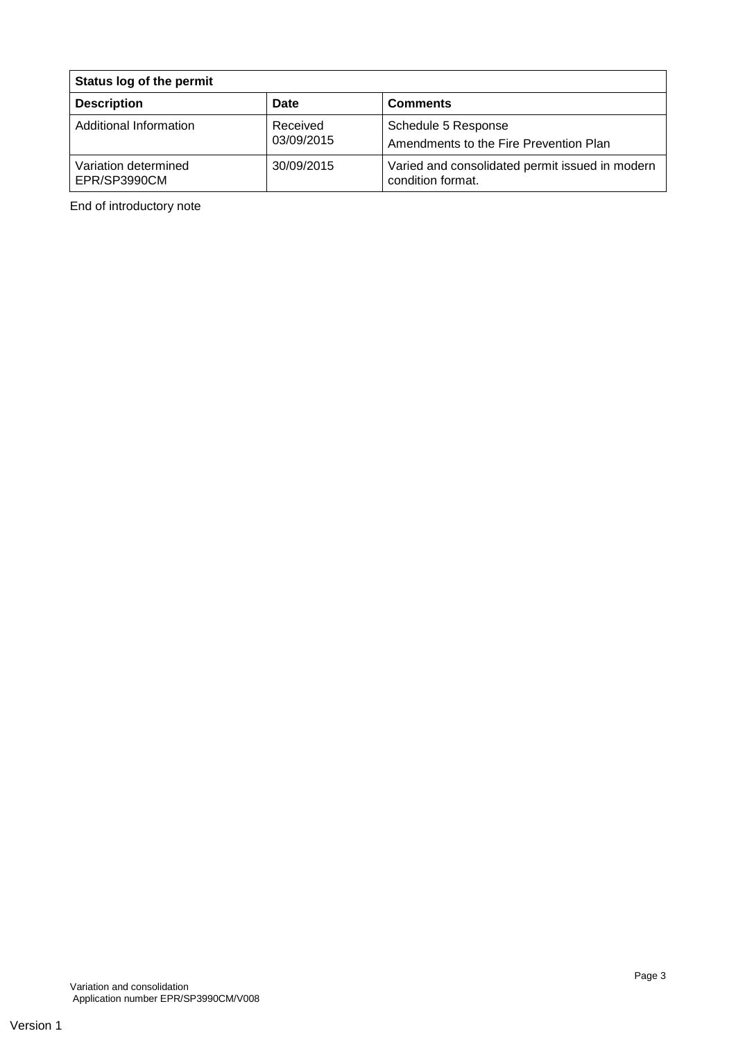| Status log of the permit             |                        |                                                                      |
|--------------------------------------|------------------------|----------------------------------------------------------------------|
| <b>Description</b>                   | Date                   | <b>Comments</b>                                                      |
| Additional Information               | Received<br>03/09/2015 | Schedule 5 Response<br>Amendments to the Fire Prevention Plan        |
| Variation determined<br>EPR/SP3990CM | 30/09/2015             | Varied and consolidated permit issued in modern<br>condition format. |

End of introductory note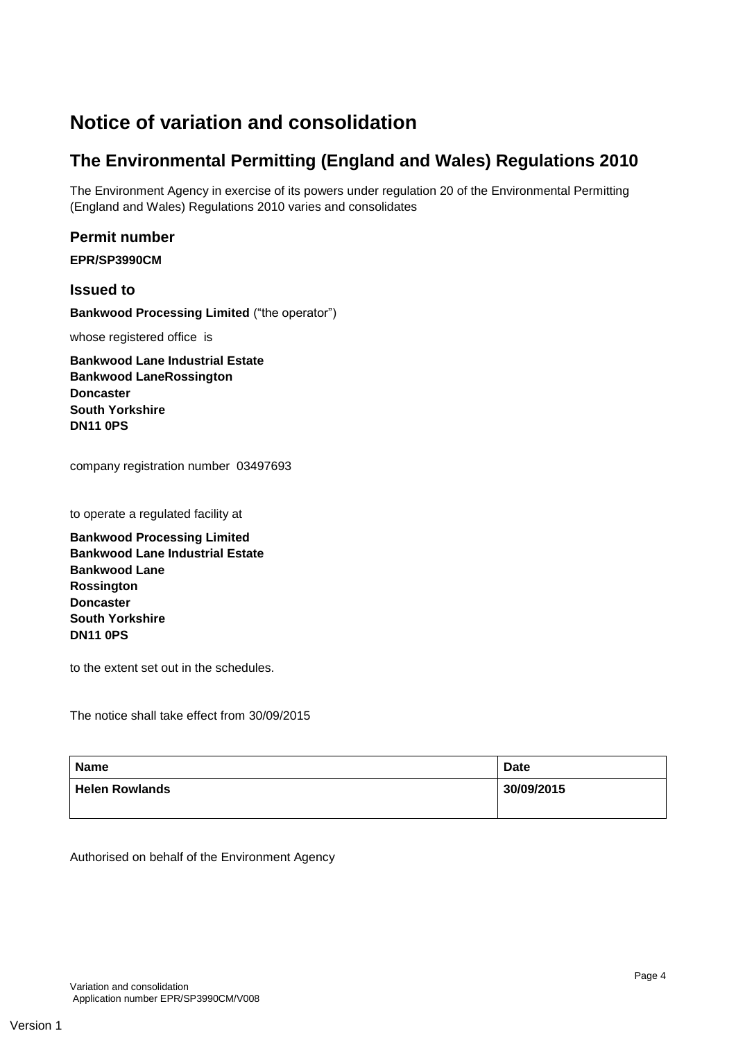## **Notice of variation and consolidation**

## **The Environmental Permitting (England and Wales) Regulations 2010**

The Environment Agency in exercise of its powers under regulation 20 of the Environmental Permitting (England and Wales) Regulations 2010 varies and consolidates

#### **Permit number**

**EPR/SP3990CM**

**Issued to Bankwood Processing Limited** ("the operator")

whose registered office is

**Bankwood Lane Industrial Estate Bankwood LaneRossington Doncaster South Yorkshire DN11 0PS**

company registration number 03497693

to operate a regulated facility at

**Bankwood Processing Limited Bankwood Lane Industrial Estate Bankwood Lane Rossington Doncaster South Yorkshire DN11 0PS**

to the extent set out in the schedules.

The notice shall take effect from 30/09/2015

| <b>Name</b>           | <b>Date</b> |
|-----------------------|-------------|
| <b>Helen Rowlands</b> | 30/09/2015  |
|                       |             |

Authorised on behalf of the Environment Agency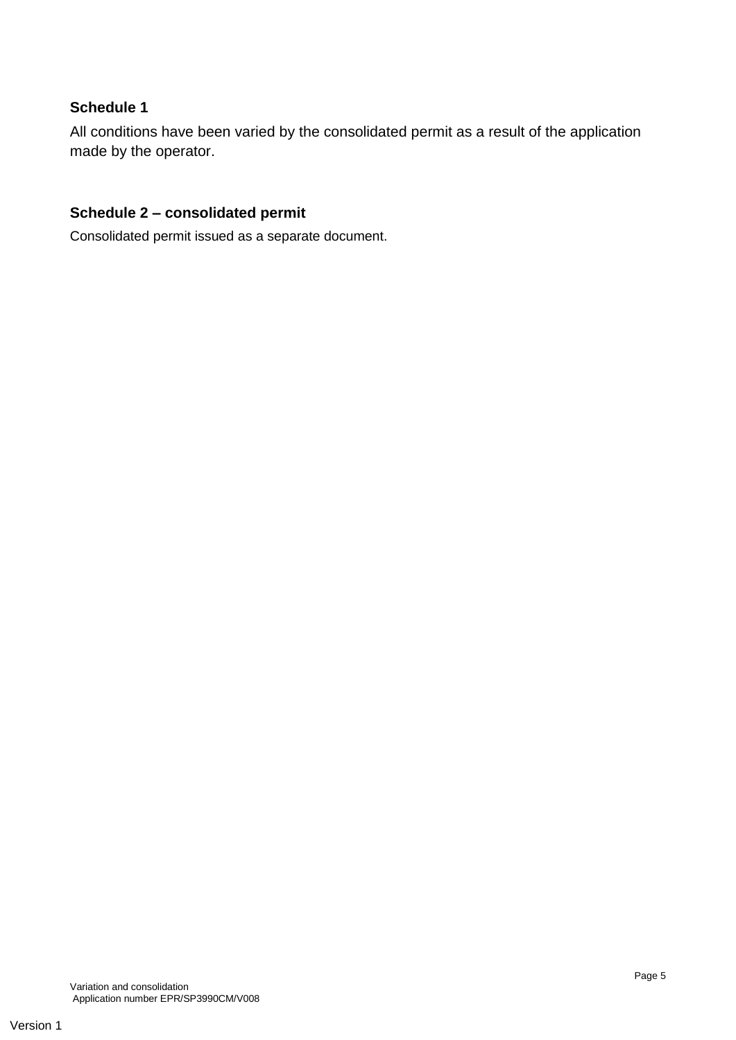#### **Schedule 1**

All conditions have been varied by the consolidated permit as a result of the application made by the operator.

#### **Schedule 2 – consolidated permit**

Consolidated permit issued as a separate document.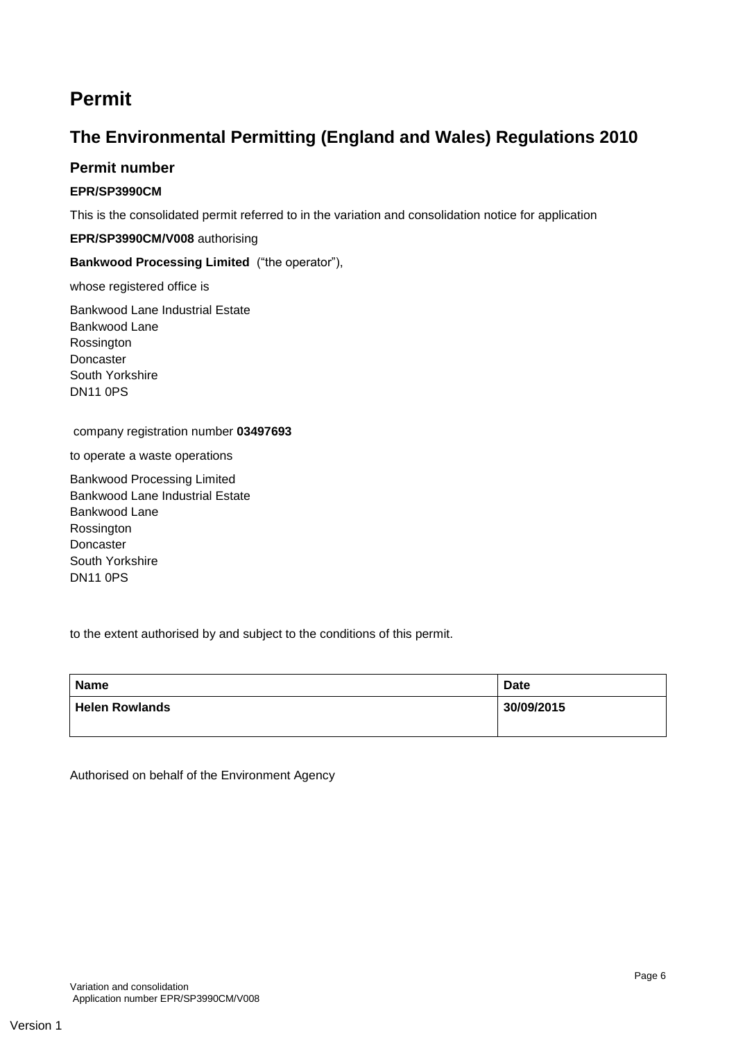## **Permit**

### **The Environmental Permitting (England and Wales) Regulations 2010**

#### **Permit number**

#### **EPR/SP3990CM**

This is the consolidated permit referred to in the variation and consolidation notice for application

#### **EPR/SP3990CM/V008** authorising

#### **Bankwood Processing Limited** ("the operator"),

whose registered office is

Bankwood Lane Industrial Estate Bankwood Lane Rossington Doncaster South Yorkshire DN11 0PS

#### company registration number **03497693**

to operate a waste operations

Bankwood Processing Limited Bankwood Lane Industrial Estate Bankwood Lane Rossington Doncaster South Yorkshire DN11 0PS

to the extent authorised by and subject to the conditions of this permit.

| <b>Name</b>           | <b>Date</b> |
|-----------------------|-------------|
| <b>Helen Rowlands</b> | 30/09/2015  |

Authorised on behalf of the Environment Agency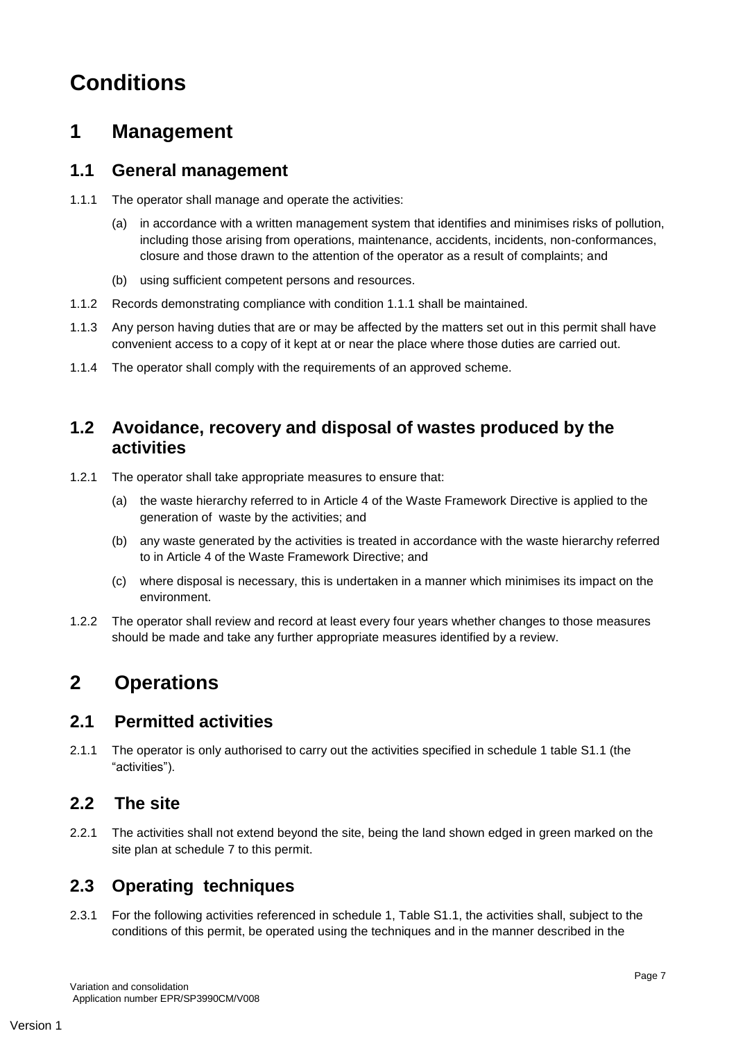# **Conditions**

## **1 Management**

### **1.1 General management**

- 1.1.1 The operator shall manage and operate the activities:
	- (a) in accordance with a written management system that identifies and minimises risks of pollution, including those arising from operations, maintenance, accidents, incidents, non-conformances, closure and those drawn to the attention of the operator as a result of complaints; and
	- (b) using sufficient competent persons and resources.
- 1.1.2 Records demonstrating compliance with condition 1.1.1 shall be maintained.
- 1.1.3 Any person having duties that are or may be affected by the matters set out in this permit shall have convenient access to a copy of it kept at or near the place where those duties are carried out.
- 1.1.4 The operator shall comply with the requirements of an approved scheme.

### **1.2 Avoidance, recovery and disposal of wastes produced by the activities**

- 1.2.1 The operator shall take appropriate measures to ensure that:
	- (a) the waste hierarchy referred to in Article 4 of the Waste Framework Directive is applied to the generation of waste by the activities; and
	- (b) any waste generated by the activities is treated in accordance with the waste hierarchy referred to in Article 4 of the Waste Framework Directive; and
	- (c) where disposal is necessary, this is undertaken in a manner which minimises its impact on the environment.
- 1.2.2 The operator shall review and record at least every four years whether changes to those measures should be made and take any further appropriate measures identified by a review.

## **2 Operations**

### **2.1 Permitted activities**

2.1.1 The operator is only authorised to carry out the activities specified in schedule 1 table S1.1 (the "activities").

### **2.2 The site**

2.2.1 The activities shall not extend beyond the site, being the land shown edged in green marked on the site plan at schedule 7 to this permit.

## **2.3 Operating techniques**

2.3.1 For the following activities referenced in schedule 1, Table S1.1, the activities shall, subject to the conditions of this permit, be operated using the techniques and in the manner described in the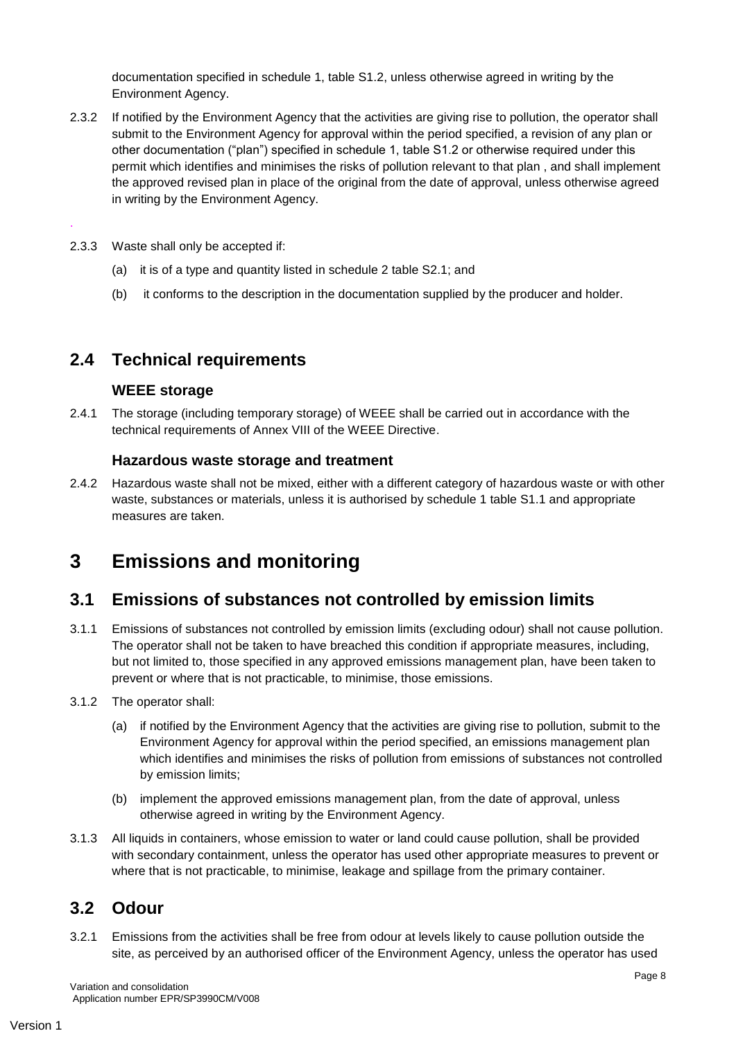documentation specified in schedule 1, table S1.2, unless otherwise agreed in writing by the Environment Agency.

- 2.3.2 If notified by the Environment Agency that the activities are giving rise to pollution, the operator shall submit to the Environment Agency for approval within the period specified, a revision of any plan or other documentation ("plan") specified in schedule 1, table S1.2 or otherwise required under this permit which identifies and minimises the risks of pollution relevant to that plan , and shall implement the approved revised plan in place of the original from the date of approval, unless otherwise agreed in writing by the Environment Agency.
- 2.3.3 Waste shall only be accepted if:

.

- (a) it is of a type and quantity listed in schedule 2 table S2.1; and
- (b) it conforms to the description in the documentation supplied by the producer and holder.

#### **2.4 Technical requirements**

#### **WEEE storage**

2.4.1 The storage (including temporary storage) of WEEE shall be carried out in accordance with the technical requirements of Annex VIII of the WEEE Directive.

#### **Hazardous waste storage and treatment**

2.4.2 Hazardous waste shall not be mixed, either with a different category of hazardous waste or with other waste, substances or materials, unless it is authorised by schedule 1 table S1.1 and appropriate measures are taken.

## **3 Emissions and monitoring**

#### **3.1 Emissions of substances not controlled by emission limits**

- 3.1.1 Emissions of substances not controlled by emission limits (excluding odour) shall not cause pollution. The operator shall not be taken to have breached this condition if appropriate measures, including, but not limited to, those specified in any approved emissions management plan, have been taken to prevent or where that is not practicable, to minimise, those emissions.
- 3.1.2 The operator shall:
	- (a) if notified by the Environment Agency that the activities are giving rise to pollution, submit to the Environment Agency for approval within the period specified, an emissions management plan which identifies and minimises the risks of pollution from emissions of substances not controlled by emission limits;
	- (b) implement the approved emissions management plan, from the date of approval, unless otherwise agreed in writing by the Environment Agency.
- 3.1.3 All liquids in containers, whose emission to water or land could cause pollution, shall be provided with secondary containment, unless the operator has used other appropriate measures to prevent or where that is not practicable, to minimise, leakage and spillage from the primary container.

#### **3.2 Odour**

3.2.1 Emissions from the activities shall be free from odour at levels likely to cause pollution outside the site, as perceived by an authorised officer of the Environment Agency, unless the operator has used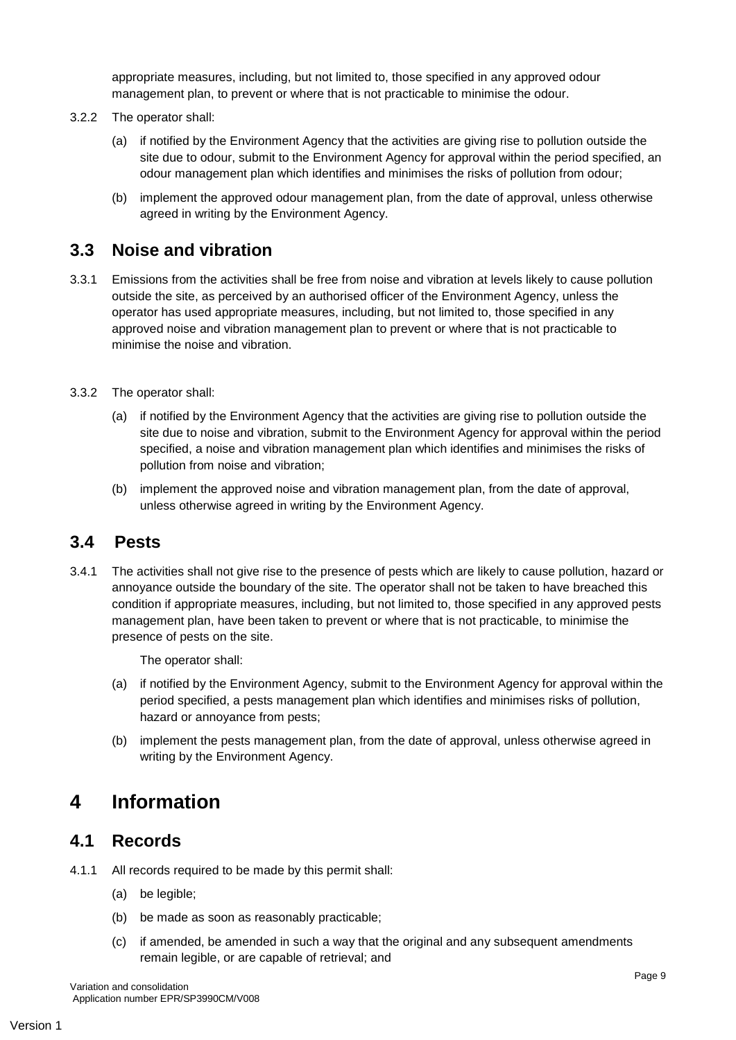appropriate measures, including, but not limited to, those specified in any approved odour management plan, to prevent or where that is not practicable to minimise the odour.

- 3.2.2 The operator shall:
	- (a) if notified by the Environment Agency that the activities are giving rise to pollution outside the site due to odour, submit to the Environment Agency for approval within the period specified, an odour management plan which identifies and minimises the risks of pollution from odour;
	- (b) implement the approved odour management plan, from the date of approval, unless otherwise agreed in writing by the Environment Agency.

### **3.3 Noise and vibration**

- 3.3.1 Emissions from the activities shall be free from noise and vibration at levels likely to cause pollution outside the site, as perceived by an authorised officer of the Environment Agency, unless the operator has used appropriate measures, including, but not limited to, those specified in any approved noise and vibration management plan to prevent or where that is not practicable to minimise the noise and vibration.
- 3.3.2 The operator shall:
	- (a) if notified by the Environment Agency that the activities are giving rise to pollution outside the site due to noise and vibration, submit to the Environment Agency for approval within the period specified, a noise and vibration management plan which identifies and minimises the risks of pollution from noise and vibration;
	- (b) implement the approved noise and vibration management plan, from the date of approval, unless otherwise agreed in writing by the Environment Agency.

#### **3.4 Pests**

3.4.1 The activities shall not give rise to the presence of pests which are likely to cause pollution, hazard or annoyance outside the boundary of the site. The operator shall not be taken to have breached this condition if appropriate measures, including, but not limited to, those specified in any approved pests management plan, have been taken to prevent or where that is not practicable, to minimise the presence of pests on the site.

The operator shall:

- (a) if notified by the Environment Agency, submit to the Environment Agency for approval within the period specified, a pests management plan which identifies and minimises risks of pollution, hazard or annoyance from pests;
- (b) implement the pests management plan, from the date of approval, unless otherwise agreed in writing by the Environment Agency.

## **4 Information**

#### **4.1 Records**

- 4.1.1 All records required to be made by this permit shall:
	- (a) be legible;
	- (b) be made as soon as reasonably practicable;
	- (c) if amended, be amended in such a way that the original and any subsequent amendments remain legible, or are capable of retrieval; and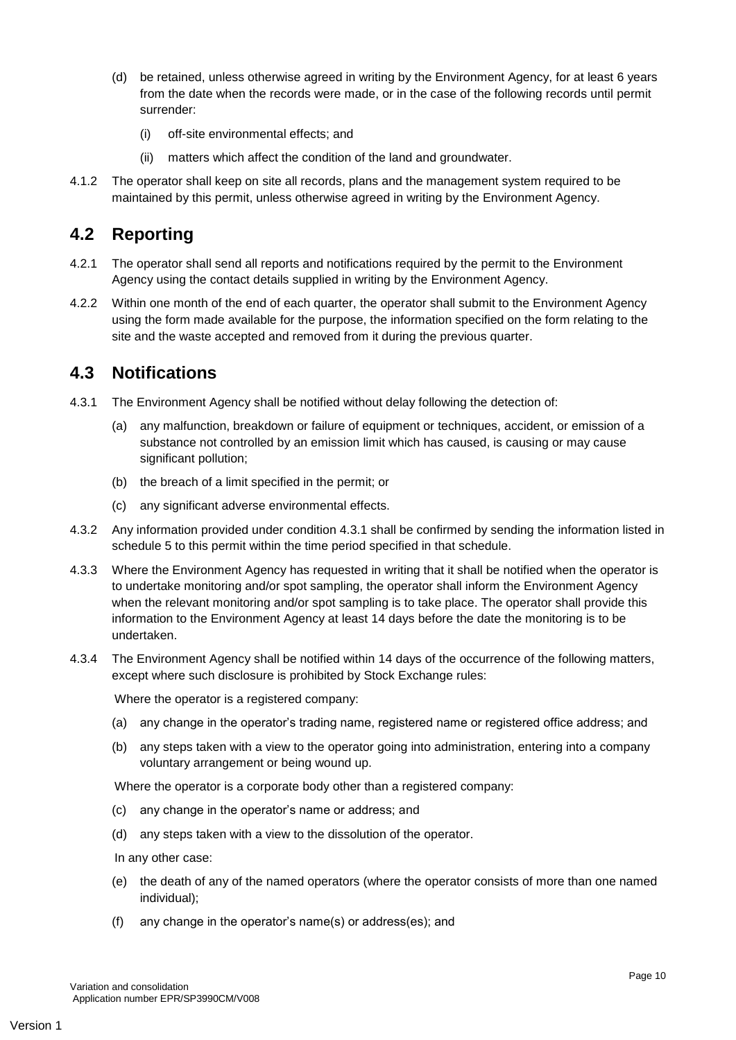- (d) be retained, unless otherwise agreed in writing by the Environment Agency, for at least 6 years from the date when the records were made, or in the case of the following records until permit surrender:
	- (i) off-site environmental effects; and
	- (ii) matters which affect the condition of the land and groundwater.
- 4.1.2 The operator shall keep on site all records, plans and the management system required to be maintained by this permit, unless otherwise agreed in writing by the Environment Agency.

#### **4.2 Reporting**

- 4.2.1 The operator shall send all reports and notifications required by the permit to the Environment Agency using the contact details supplied in writing by the Environment Agency.
- 4.2.2 Within one month of the end of each quarter, the operator shall submit to the Environment Agency using the form made available for the purpose, the information specified on the form relating to the site and the waste accepted and removed from it during the previous quarter.

### **4.3 Notifications**

- 4.3.1 The Environment Agency shall be notified without delay following the detection of:
	- any malfunction, breakdown or failure of equipment or techniques, accident, or emission of a substance not controlled by an emission limit which has caused, is causing or may cause significant pollution;
	- (b) the breach of a limit specified in the permit; or
	- (c) any significant adverse environmental effects.
- 4.3.2 Any information provided under condition 4.3.1 shall be confirmed by sending the information listed in schedule 5 to this permit within the time period specified in that schedule.
- 4.3.3 Where the Environment Agency has requested in writing that it shall be notified when the operator is to undertake monitoring and/or spot sampling, the operator shall inform the Environment Agency when the relevant monitoring and/or spot sampling is to take place. The operator shall provide this information to the Environment Agency at least 14 days before the date the monitoring is to be undertaken.
- 4.3.4 The Environment Agency shall be notified within 14 days of the occurrence of the following matters, except where such disclosure is prohibited by Stock Exchange rules:

Where the operator is a registered company:

- (a) any change in the operator's trading name, registered name or registered office address; and
- (b) any steps taken with a view to the operator going into administration, entering into a company voluntary arrangement or being wound up.

Where the operator is a corporate body other than a registered company:

- (c) any change in the operator's name or address; and
- (d) any steps taken with a view to the dissolution of the operator.

In any other case:

- (e) the death of any of the named operators (where the operator consists of more than one named individual);
- (f) any change in the operator's name(s) or address(es); and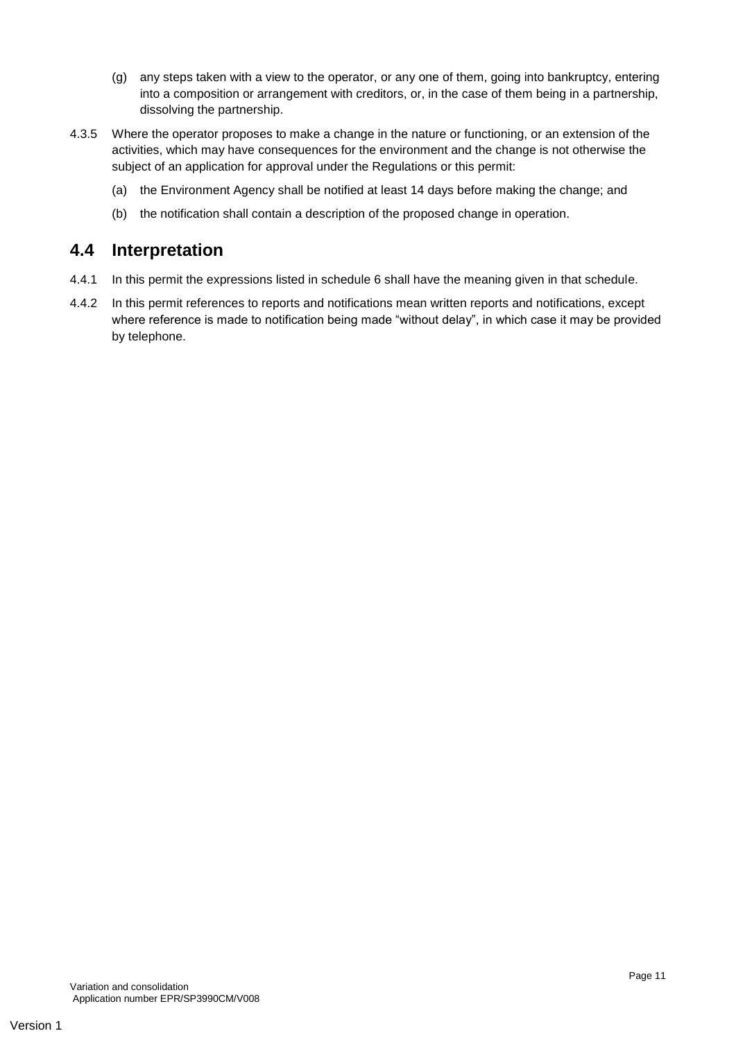- (g) any steps taken with a view to the operator, or any one of them, going into bankruptcy, entering into a composition or arrangement with creditors, or, in the case of them being in a partnership, dissolving the partnership.
- 4.3.5 Where the operator proposes to make a change in the nature or functioning, or an extension of the activities, which may have consequences for the environment and the change is not otherwise the subject of an application for approval under the Regulations or this permit:
	- (a) the Environment Agency shall be notified at least 14 days before making the change; and
	- (b) the notification shall contain a description of the proposed change in operation.

### **4.4 Interpretation**

- 4.4.1 In this permit the expressions listed in schedule 6 shall have the meaning given in that schedule.
- 4.4.2 In this permit references to reports and notifications mean written reports and notifications, except where reference is made to notification being made "without delay", in which case it may be provided by telephone.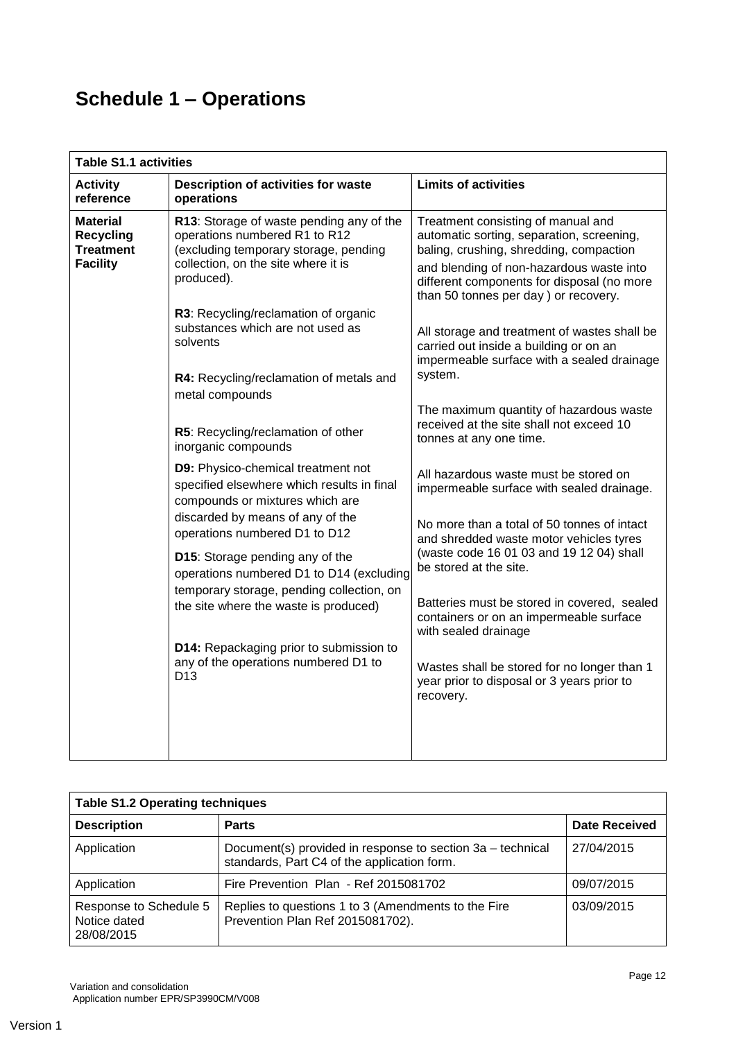# **Schedule 1 – Operations**

| <b>Table S1.1 activities</b>                                 |                                                                                                                                                                                               |                                                                                                                                                                                                                                                              |  |
|--------------------------------------------------------------|-----------------------------------------------------------------------------------------------------------------------------------------------------------------------------------------------|--------------------------------------------------------------------------------------------------------------------------------------------------------------------------------------------------------------------------------------------------------------|--|
| <b>Activity</b><br>reference                                 | Description of activities for waste<br>operations                                                                                                                                             | <b>Limits of activities</b>                                                                                                                                                                                                                                  |  |
| Material<br><b>Recycling</b><br>Treatment<br><b>Facility</b> | R13: Storage of waste pending any of the<br>operations numbered R1 to R12<br>(excluding temporary storage, pending<br>collection, on the site where it is<br>produced).                       | Treatment consisting of manual and<br>automatic sorting, separation, screening,<br>baling, crushing, shredding, compaction<br>and blending of non-hazardous waste into<br>different components for disposal (no more<br>than 50 tonnes per day) or recovery. |  |
|                                                              | R3: Recycling/reclamation of organic<br>substances which are not used as<br>solvents<br>R4: Recycling/reclamation of metals and<br>metal compounds                                            | All storage and treatment of wastes shall be<br>carried out inside a building or on an<br>impermeable surface with a sealed drainage<br>system.                                                                                                              |  |
|                                                              | R5: Recycling/reclamation of other<br>inorganic compounds                                                                                                                                     | The maximum quantity of hazardous waste<br>received at the site shall not exceed 10<br>tonnes at any one time.                                                                                                                                               |  |
|                                                              | D9: Physico-chemical treatment not<br>specified elsewhere which results in final<br>compounds or mixtures which are                                                                           | All hazardous waste must be stored on<br>impermeable surface with sealed drainage.                                                                                                                                                                           |  |
|                                                              | discarded by means of any of the<br>operations numbered D1 to D12<br>D15: Storage pending any of the<br>operations numbered D1 to D14 (excluding<br>temporary storage, pending collection, on | No more than a total of 50 tonnes of intact<br>and shredded waste motor vehicles tyres<br>(waste code 16 01 03 and 19 12 04) shall<br>be stored at the site.                                                                                                 |  |
|                                                              | the site where the waste is produced)                                                                                                                                                         | Batteries must be stored in covered, sealed<br>containers or on an impermeable surface<br>with sealed drainage                                                                                                                                               |  |
|                                                              | D14: Repackaging prior to submission to<br>any of the operations numbered D1 to<br>D <sub>13</sub>                                                                                            | Wastes shall be stored for no longer than 1<br>year prior to disposal or 3 years prior to<br>recovery.                                                                                                                                                       |  |
|                                                              |                                                                                                                                                                                               |                                                                                                                                                                                                                                                              |  |

| <b>Table S1.2 Operating techniques</b>               |                                                                                                           |                      |
|------------------------------------------------------|-----------------------------------------------------------------------------------------------------------|----------------------|
| <b>Description</b>                                   | <b>Parts</b>                                                                                              | <b>Date Received</b> |
| Application                                          | Document(s) provided in response to section 3a – technical<br>standards, Part C4 of the application form. | 27/04/2015           |
| Application                                          | Fire Prevention Plan - Ref 2015081702                                                                     | 09/07/2015           |
| Response to Schedule 5<br>Notice dated<br>28/08/2015 | Replies to questions 1 to 3 (Amendments to the Fire<br>Prevention Plan Ref 2015081702).                   | 03/09/2015           |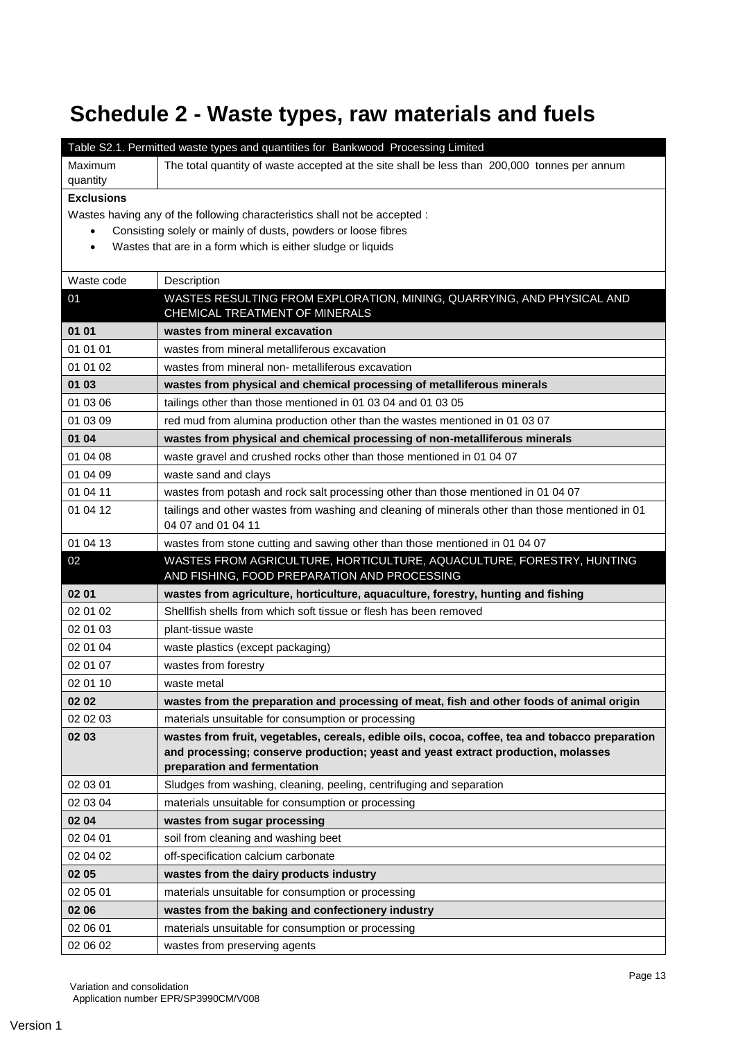# **Schedule 2 - Waste types, raw materials and fuels**

|                      | Table S2.1. Permitted waste types and quantities for Bankwood Processing Limited                                      |
|----------------------|-----------------------------------------------------------------------------------------------------------------------|
| Maximum              | The total quantity of waste accepted at the site shall be less than 200,000 tonnes per annum                          |
| quantity             |                                                                                                                       |
| <b>Exclusions</b>    |                                                                                                                       |
|                      | Wastes having any of the following characteristics shall not be accepted :                                            |
| $\bullet$            | Consisting solely or mainly of dusts, powders or loose fibres                                                         |
|                      | Wastes that are in a form which is either sludge or liquids                                                           |
| Waste code           | Description                                                                                                           |
| 01                   | WASTES RESULTING FROM EXPLORATION, MINING, QUARRYING, AND PHYSICAL AND                                                |
|                      | CHEMICAL TREATMENT OF MINERALS                                                                                        |
| 01 01                | wastes from mineral excavation                                                                                        |
| 01 01 01             | wastes from mineral metalliferous excavation                                                                          |
| 01 01 02             | wastes from mineral non- metalliferous excavation                                                                     |
| 01 03                | wastes from physical and chemical processing of metalliferous minerals                                                |
| 01 03 06             | tailings other than those mentioned in 01 03 04 and 01 03 05                                                          |
| 01 03 09             | red mud from alumina production other than the wastes mentioned in 01 03 07                                           |
| 01 04                | wastes from physical and chemical processing of non-metalliferous minerals                                            |
| 01 04 08             | waste gravel and crushed rocks other than those mentioned in 01 04 07                                                 |
| 01 04 09             | waste sand and clays                                                                                                  |
| 01 04 11             | wastes from potash and rock salt processing other than those mentioned in 01 04 07                                    |
| 01 04 12             | tailings and other wastes from washing and cleaning of minerals other than those mentioned in 01                      |
|                      | 04 07 and 01 04 11                                                                                                    |
|                      |                                                                                                                       |
| 01 04 13             | wastes from stone cutting and sawing other than those mentioned in 01 04 07                                           |
| 02                   | WASTES FROM AGRICULTURE, HORTICULTURE, AQUACULTURE, FORESTRY, HUNTING<br>AND FISHING, FOOD PREPARATION AND PROCESSING |
| 02 01                | wastes from agriculture, horticulture, aquaculture, forestry, hunting and fishing                                     |
| 02 01 02             | Shellfish shells from which soft tissue or flesh has been removed                                                     |
| 02 01 03             | plant-tissue waste                                                                                                    |
| 02 01 04             | waste plastics (except packaging)                                                                                     |
| 02 01 07             | wastes from forestry                                                                                                  |
| 02 01 10             | waste metal                                                                                                           |
| 02 02                | wastes from the preparation and processing of meat, fish and other foods of animal origin                             |
| 02 02 03             | materials unsuitable for consumption or processing                                                                    |
| 02 03                | wastes from fruit, vegetables, cereals, edible oils, cocoa, coffee, tea and tobacco preparation                       |
|                      | and processing; conserve production; yeast and yeast extract production, molasses                                     |
|                      | preparation and fermentation                                                                                          |
| 02 03 01             | Sludges from washing, cleaning, peeling, centrifuging and separation                                                  |
| 02 03 04             | materials unsuitable for consumption or processing                                                                    |
| 02 04                | wastes from sugar processing                                                                                          |
| 02 04 01             | soil from cleaning and washing beet                                                                                   |
| 02 04 02             | off-specification calcium carbonate                                                                                   |
| 02 05                | wastes from the dairy products industry                                                                               |
| 02 05 01             | materials unsuitable for consumption or processing                                                                    |
| 02 06                | wastes from the baking and confectionery industry                                                                     |
| 02 06 01<br>02 06 02 | materials unsuitable for consumption or processing<br>wastes from preserving agents                                   |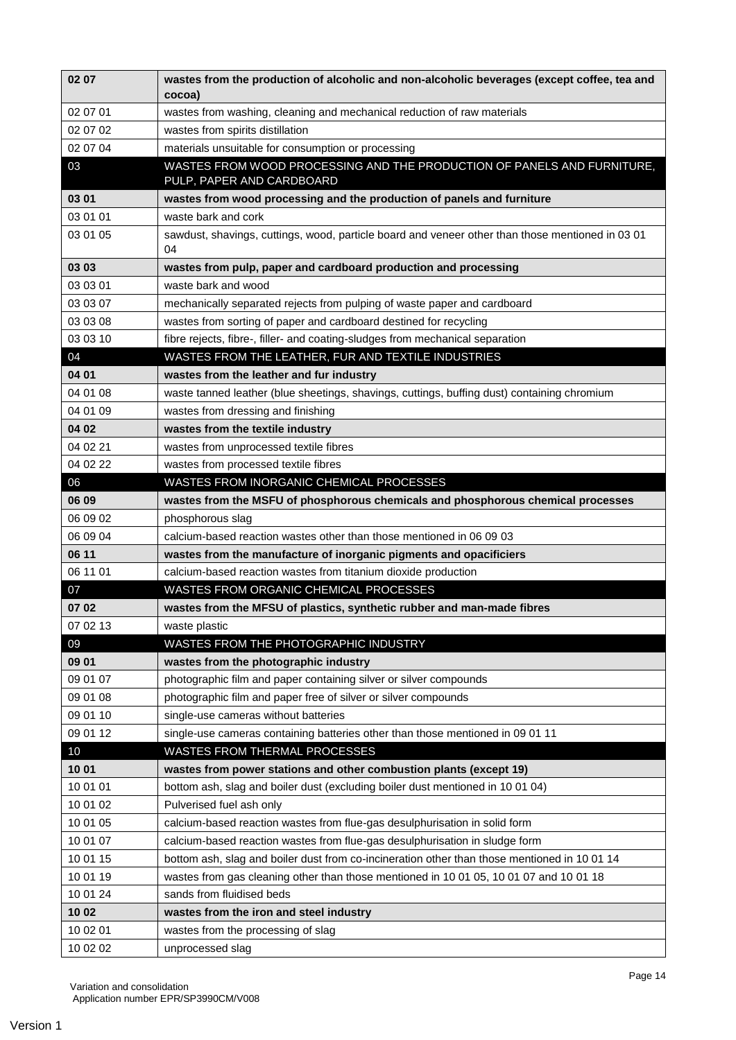| 02 07       | wastes from the production of alcoholic and non-alcoholic beverages (except coffee, tea and<br>cocoa)  |
|-------------|--------------------------------------------------------------------------------------------------------|
| 02 07 01    | wastes from washing, cleaning and mechanical reduction of raw materials                                |
| 02 07 02    | wastes from spirits distillation                                                                       |
| 02 07 04    | materials unsuitable for consumption or processing                                                     |
| 03          | WASTES FROM WOOD PROCESSING AND THE PRODUCTION OF PANELS AND FURNITURE,<br>PULP, PAPER AND CARDBOARD   |
| 03 01       | wastes from wood processing and the production of panels and furniture                                 |
| 03 01 01    | waste bark and cork                                                                                    |
| 03 01 05    | sawdust, shavings, cuttings, wood, particle board and veneer other than those mentioned in 03 01<br>04 |
| 03 03       | wastes from pulp, paper and cardboard production and processing                                        |
| 03 03 01    | waste bark and wood                                                                                    |
| 03 03 07    | mechanically separated rejects from pulping of waste paper and cardboard                               |
| 03 03 08    | wastes from sorting of paper and cardboard destined for recycling                                      |
| 03 03 10    | fibre rejects, fibre-, filler- and coating-sludges from mechanical separation                          |
| 04          | WASTES FROM THE LEATHER, FUR AND TEXTILE INDUSTRIES                                                    |
| 04 01       | wastes from the leather and fur industry                                                               |
| 04 01 08    | waste tanned leather (blue sheetings, shavings, cuttings, buffing dust) containing chromium            |
| 04 01 09    | wastes from dressing and finishing                                                                     |
| 04 02       | wastes from the textile industry                                                                       |
| 04 02 21    | wastes from unprocessed textile fibres                                                                 |
| 04 02 22    | wastes from processed textile fibres                                                                   |
| 06          | WASTES FROM INORGANIC CHEMICAL PROCESSES                                                               |
| 06 09       | wastes from the MSFU of phosphorous chemicals and phosphorous chemical processes                       |
| 06 09 02    | phosphorous slag                                                                                       |
| 06 09 04    | calcium-based reaction wastes other than those mentioned in 06 09 03                                   |
| 06 11       | wastes from the manufacture of inorganic pigments and opacificiers                                     |
| 06 11 01    | calcium-based reaction wastes from titanium dioxide production                                         |
| 07          | WASTES FROM ORGANIC CHEMICAL PROCESSES                                                                 |
| 07 02       | wastes from the MFSU of plastics, synthetic rubber and man-made fibres                                 |
| 07 02 13    | waste plastic                                                                                          |
| 09<br>09 01 | WASTES FROM THE PHOTOGRAPHIC INDUSTRY<br>wastes from the photographic industry                         |
| 09 01 07    | photographic film and paper containing silver or silver compounds                                      |
| 09 01 08    | photographic film and paper free of silver or silver compounds                                         |
| 09 01 10    | single-use cameras without batteries                                                                   |
| 09 01 12    | single-use cameras containing batteries other than those mentioned in 09 01 11                         |
| 10          | <b>WASTES FROM THERMAL PROCESSES</b>                                                                   |
| 1001        | wastes from power stations and other combustion plants (except 19)                                     |
| 10 01 01    | bottom ash, slag and boiler dust (excluding boiler dust mentioned in 10 01 04)                         |
| 10 01 02    | Pulverised fuel ash only                                                                               |
| 10 01 05    | calcium-based reaction wastes from flue-gas desulphurisation in solid form                             |
| 10 01 07    | calcium-based reaction wastes from flue-gas desulphurisation in sludge form                            |
| 10 01 15    | bottom ash, slag and boiler dust from co-incineration other than those mentioned in 10 01 14           |
| 10 01 19    | wastes from gas cleaning other than those mentioned in 10 01 05, 10 01 07 and 10 01 18                 |
| 10 01 24    | sands from fluidised beds                                                                              |
| 10 02       | wastes from the iron and steel industry                                                                |
| 10 02 01    | wastes from the processing of slag                                                                     |
| 10 02 02    | unprocessed slag                                                                                       |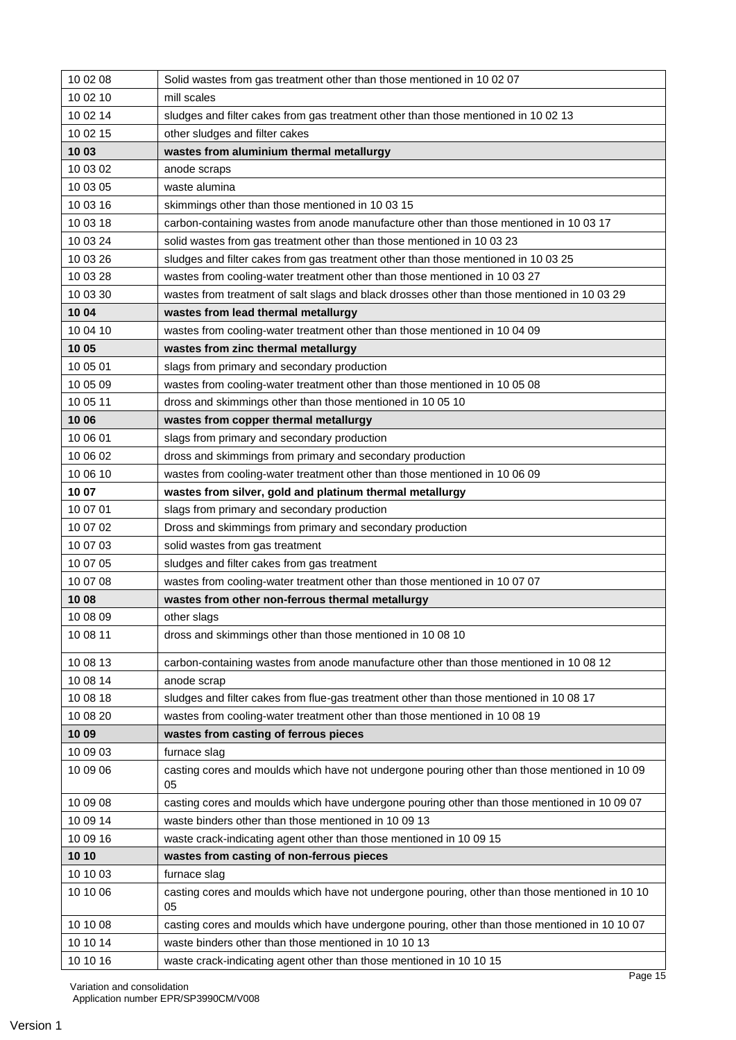| 10 02 08 | Solid wastes from gas treatment other than those mentioned in 10 02 07                               |
|----------|------------------------------------------------------------------------------------------------------|
| 10 02 10 | mill scales                                                                                          |
| 10 02 14 | sludges and filter cakes from gas treatment other than those mentioned in 10 02 13                   |
| 10 02 15 | other sludges and filter cakes                                                                       |
| 1003     | wastes from aluminium thermal metallurgy                                                             |
| 10 03 02 | anode scraps                                                                                         |
| 10 03 05 | waste alumina                                                                                        |
| 10 03 16 | skimmings other than those mentioned in 10 03 15                                                     |
| 10 03 18 | carbon-containing wastes from anode manufacture other than those mentioned in 10 03 17               |
| 10 03 24 | solid wastes from gas treatment other than those mentioned in 10 03 23                               |
| 10 03 26 | sludges and filter cakes from gas treatment other than those mentioned in 10 03 25                   |
| 10 03 28 | wastes from cooling-water treatment other than those mentioned in 10 03 27                           |
| 10 03 30 | wastes from treatment of salt slags and black drosses other than those mentioned in 10 03 29         |
| 10 04    | wastes from lead thermal metallurgy                                                                  |
| 10 04 10 | wastes from cooling-water treatment other than those mentioned in 10 04 09                           |
| 10 05    | wastes from zinc thermal metallurgy                                                                  |
| 10 05 01 | slags from primary and secondary production                                                          |
| 10 05 09 | wastes from cooling-water treatment other than those mentioned in 10 05 08                           |
| 10 05 11 | dross and skimmings other than those mentioned in 10 05 10                                           |
| 10 06    | wastes from copper thermal metallurgy                                                                |
| 10 06 01 | slags from primary and secondary production                                                          |
| 10 06 02 | dross and skimmings from primary and secondary production                                            |
| 10 06 10 | wastes from cooling-water treatment other than those mentioned in 10 06 09                           |
| 10 07    | wastes from silver, gold and platinum thermal metallurgy                                             |
| 10 07 01 | slags from primary and secondary production                                                          |
| 10 07 02 | Dross and skimmings from primary and secondary production                                            |
| 10 07 03 | solid wastes from gas treatment                                                                      |
| 10 07 05 | sludges and filter cakes from gas treatment                                                          |
| 10 07 08 | wastes from cooling-water treatment other than those mentioned in 10 07 07                           |
| 10 08    | wastes from other non-ferrous thermal metallurgy                                                     |
| 10 08 09 | other slags                                                                                          |
| 10 08 11 | dross and skimmings other than those mentioned in 10 08 10                                           |
| 10 08 13 | carbon-containing wastes from anode manufacture other than those mentioned in 10 08 12               |
| 10 08 14 | anode scrap                                                                                          |
| 10 08 18 | sludges and filter cakes from flue-gas treatment other than those mentioned in 10 08 17              |
| 10 08 20 | wastes from cooling-water treatment other than those mentioned in 10 08 19                           |
| 1009     | wastes from casting of ferrous pieces                                                                |
| 10 09 03 | furnace slag                                                                                         |
| 10 09 06 | casting cores and moulds which have not undergone pouring other than those mentioned in 10 09<br>05  |
| 10 09 08 | casting cores and moulds which have undergone pouring other than those mentioned in 10 09 07         |
| 10 09 14 | waste binders other than those mentioned in 10 09 13                                                 |
| 10 09 16 | waste crack-indicating agent other than those mentioned in 10 09 15                                  |
| 10 10    | wastes from casting of non-ferrous pieces                                                            |
| 10 10 03 | furnace slag                                                                                         |
| 10 10 06 | casting cores and moulds which have not undergone pouring, other than those mentioned in 10 10<br>05 |
| 10 10 08 | casting cores and moulds which have undergone pouring, other than those mentioned in 10 10 07        |
| 10 10 14 | waste binders other than those mentioned in 10 10 13                                                 |
|          |                                                                                                      |
| 10 10 16 | waste crack-indicating agent other than those mentioned in 10 10 15                                  |

Variation and consolidation

Application number EPR/SP3990CM/V008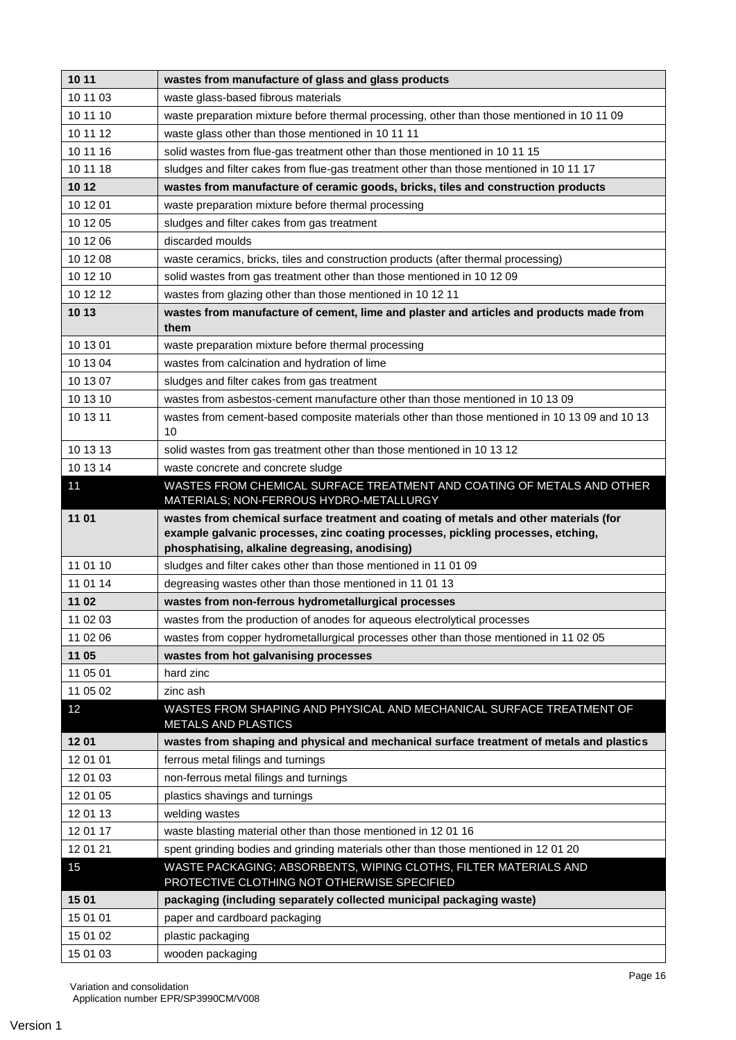| 10 11    | wastes from manufacture of glass and glass products                                                               |
|----------|-------------------------------------------------------------------------------------------------------------------|
| 10 11 03 | waste glass-based fibrous materials                                                                               |
| 10 11 10 | waste preparation mixture before thermal processing, other than those mentioned in 10 11 09                       |
| 10 11 12 | waste glass other than those mentioned in 10 11 11                                                                |
| 10 11 16 | solid wastes from flue-gas treatment other than those mentioned in 10 11 15                                       |
| 10 11 18 | sludges and filter cakes from flue-gas treatment other than those mentioned in 10 11 17                           |
| 10 12    | wastes from manufacture of ceramic goods, bricks, tiles and construction products                                 |
| 10 12 01 | waste preparation mixture before thermal processing                                                               |
| 10 12 05 | sludges and filter cakes from gas treatment                                                                       |
| 10 12 06 | discarded moulds                                                                                                  |
| 10 12 08 | waste ceramics, bricks, tiles and construction products (after thermal processing)                                |
| 10 12 10 | solid wastes from gas treatment other than those mentioned in 10 12 09                                            |
| 10 12 12 | wastes from glazing other than those mentioned in 10 12 11                                                        |
| 10 13    | wastes from manufacture of cement, lime and plaster and articles and products made from<br>them                   |
| 10 13 01 | waste preparation mixture before thermal processing                                                               |
| 10 13 04 | wastes from calcination and hydration of lime                                                                     |
| 10 13 07 | sludges and filter cakes from gas treatment                                                                       |
| 10 13 10 | wastes from asbestos-cement manufacture other than those mentioned in 10 13 09                                    |
| 10 13 11 | wastes from cement-based composite materials other than those mentioned in 10 13 09 and 10 13<br>10               |
| 10 13 13 | solid wastes from gas treatment other than those mentioned in 10 13 12                                            |
| 10 13 14 | waste concrete and concrete sludge                                                                                |
| 11       | WASTES FROM CHEMICAL SURFACE TREATMENT AND COATING OF METALS AND OTHER<br>MATERIALS; NON-FERROUS HYDRO-METALLURGY |
| 11 01    | wastes from chemical surface treatment and coating of metals and other materials (for                             |
|          | example galvanic processes, zinc coating processes, pickling processes, etching,                                  |
|          | phosphatising, alkaline degreasing, anodising)                                                                    |
| 11 01 10 | sludges and filter cakes other than those mentioned in 11 01 09                                                   |
| 11 01 14 | degreasing wastes other than those mentioned in 11 01 13                                                          |
| 11 02    | wastes from non-ferrous hydrometallurgical processes                                                              |
| 11 02 03 | wastes from the production of anodes for aqueous electrolytical processes                                         |
| 11 02 06 | wastes from copper hydrometallurgical processes other than those mentioned in 11 02 05                            |
| 11 05    | wastes from hot galvanising processes                                                                             |
| 11 05 01 | hard zinc                                                                                                         |
| 11 05 02 | zinc ash                                                                                                          |
| 12       | WASTES FROM SHAPING AND PHYSICAL AND MECHANICAL SURFACE TREATMENT OF<br><b>METALS AND PLASTICS</b>                |
| 1201     | wastes from shaping and physical and mechanical surface treatment of metals and plastics                          |
| 12 01 01 | ferrous metal filings and turnings                                                                                |
| 12 01 03 | non-ferrous metal filings and turnings                                                                            |
| 12 01 05 | plastics shavings and turnings                                                                                    |
| 12 01 13 | welding wastes                                                                                                    |
| 12 01 17 | waste blasting material other than those mentioned in 12 01 16                                                    |
| 12 01 21 | spent grinding bodies and grinding materials other than those mentioned in 12 01 20                               |
| 15       | WASTE PACKAGING; ABSORBENTS, WIPING CLOTHS, FILTER MATERIALS AND<br>PROTECTIVE CLOTHING NOT OTHERWISE SPECIFIED   |
| 15 01    | packaging (including separately collected municipal packaging waste)                                              |
| 15 01 01 | paper and cardboard packaging                                                                                     |
| 15 01 02 | plastic packaging                                                                                                 |
| 15 01 03 | wooden packaging                                                                                                  |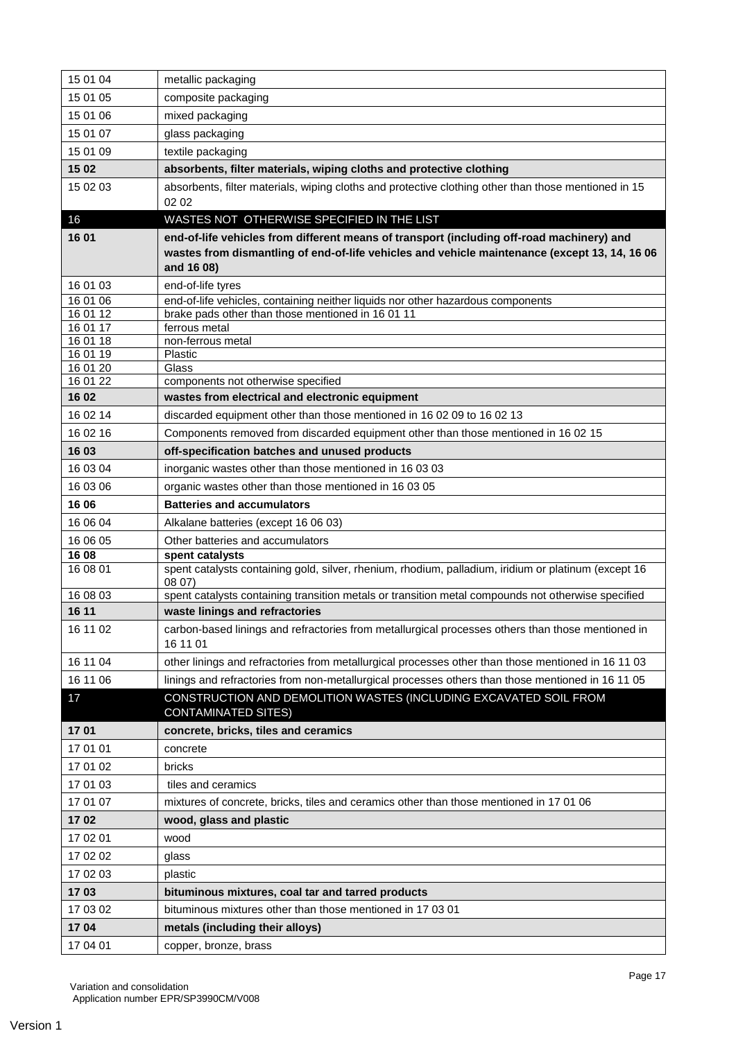| 15 01 04             | metallic packaging                                                                                            |
|----------------------|---------------------------------------------------------------------------------------------------------------|
| 15 01 05             | composite packaging                                                                                           |
| 15 01 06             | mixed packaging                                                                                               |
| 15 01 07             | glass packaging                                                                                               |
| 15 01 09             | textile packaging                                                                                             |
| 15 02                | absorbents, filter materials, wiping cloths and protective clothing                                           |
| 15 02 03             | absorbents, filter materials, wiping cloths and protective clothing other than those mentioned in 15          |
|                      | 02 02                                                                                                         |
| 16                   | WASTES NOT OTHERWISE SPECIFIED IN THE LIST                                                                    |
| 16 01                | end-of-life vehicles from different means of transport (including off-road machinery) and                     |
|                      | wastes from dismantling of end-of-life vehicles and vehicle maintenance (except 13, 14, 16 06                 |
|                      | and 16 08)                                                                                                    |
| 16 01 03<br>16 01 06 | end-of-life tyres<br>end-of-life vehicles, containing neither liquids nor other hazardous components          |
| 16 01 12             | brake pads other than those mentioned in 16 01 11                                                             |
| 16 01 17             | ferrous metal                                                                                                 |
| 16 01 18             | non-ferrous metal                                                                                             |
| 16 01 19<br>16 01 20 | Plastic<br>Glass                                                                                              |
| 16 01 22             | components not otherwise specified                                                                            |
| 1602                 | wastes from electrical and electronic equipment                                                               |
| 16 02 14             | discarded equipment other than those mentioned in 16 02 09 to 16 02 13                                        |
| 16 02 16             | Components removed from discarded equipment other than those mentioned in 16 02 15                            |
| 16 03                | off-specification batches and unused products                                                                 |
| 16 03 04             | inorganic wastes other than those mentioned in 16 03 03                                                       |
| 16 03 06             | organic wastes other than those mentioned in 16 03 05                                                         |
| 16 06                | <b>Batteries and accumulators</b>                                                                             |
| 16 06 04             | Alkalane batteries (except 16 06 03)                                                                          |
| 16 06 05             | Other batteries and accumulators                                                                              |
| 16 08                | spent catalysts                                                                                               |
| 16 08 01             | spent catalysts containing gold, silver, rhenium, rhodium, palladium, iridium or platinum (except 16<br>0807  |
| 16 08 03             | spent catalysts containing transition metals or transition metal compounds not otherwise specified            |
| 16 11                | waste linings and refractories                                                                                |
| 16 11 02             | carbon-based linings and refractories from metallurgical processes others than those mentioned in<br>16 11 01 |
| 16 11 04             | other linings and refractories from metallurgical processes other than those mentioned in 16 11 03            |
| 16 11 06             | linings and refractories from non-metallurgical processes others than those mentioned in 16 11 05             |
| 17                   | CONSTRUCTION AND DEMOLITION WASTES (INCLUDING EXCAVATED SOIL FROM<br><b>CONTAMINATED SITES)</b>               |
| 1701                 | concrete, bricks, tiles and ceramics                                                                          |
| 17 01 01             | concrete                                                                                                      |
| 17 01 02             | bricks                                                                                                        |
| 17 01 03             | tiles and ceramics                                                                                            |
| 17 01 07             | mixtures of concrete, bricks, tiles and ceramics other than those mentioned in 17 01 06                       |
| 1702                 | wood, glass and plastic                                                                                       |
| 17 02 01             | wood                                                                                                          |
| 17 02 02             | glass                                                                                                         |
| 17 02 03             | plastic                                                                                                       |
| 1703                 | bituminous mixtures, coal tar and tarred products                                                             |
| 17 03 02             | bituminous mixtures other than those mentioned in 17 03 01                                                    |
| 1704                 | metals (including their alloys)                                                                               |
| 17 04 01             | copper, bronze, brass                                                                                         |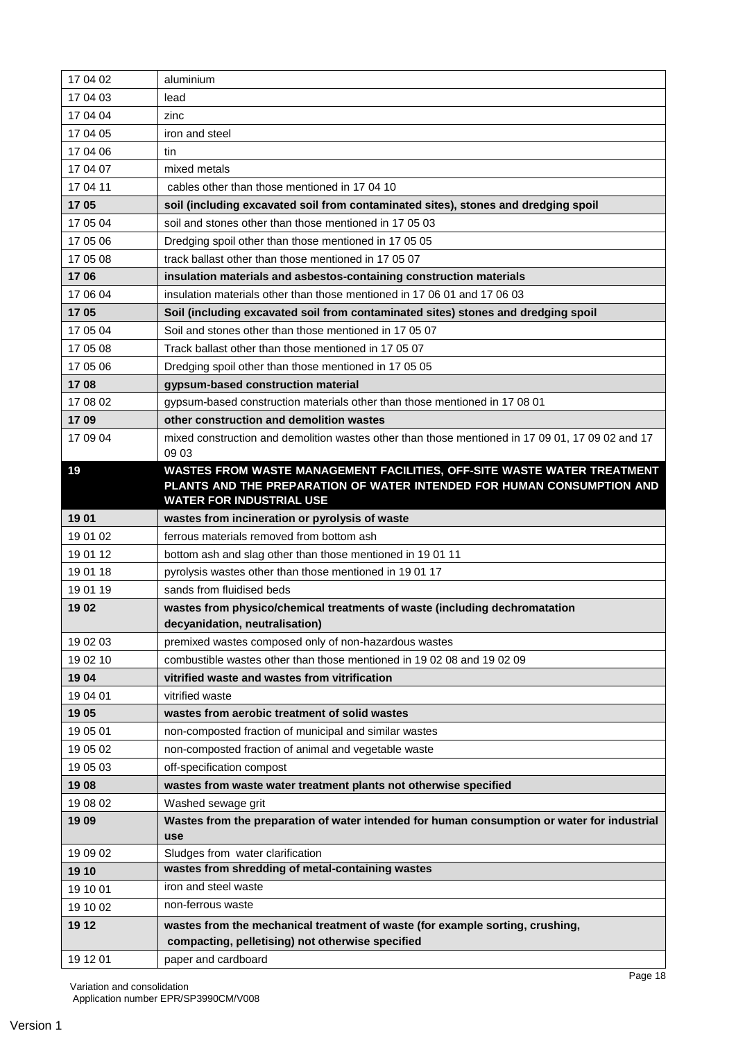| 17 04 02 | aluminium                                                                                                    |
|----------|--------------------------------------------------------------------------------------------------------------|
| 17 04 03 | lead                                                                                                         |
| 17 04 04 | zinc                                                                                                         |
| 17 04 05 | iron and steel                                                                                               |
| 17 04 06 | tin                                                                                                          |
| 17 04 07 | mixed metals                                                                                                 |
| 17 04 11 | cables other than those mentioned in 17 04 10                                                                |
| 1705     | soil (including excavated soil from contaminated sites), stones and dredging spoil                           |
| 17 05 04 | soil and stones other than those mentioned in 17 05 03                                                       |
| 17 05 06 | Dredging spoil other than those mentioned in 17 05 05                                                        |
| 17 05 08 | track ballast other than those mentioned in 17 05 07                                                         |
| 1706     | insulation materials and asbestos-containing construction materials                                          |
| 17 06 04 | insulation materials other than those mentioned in 17 06 01 and 17 06 03                                     |
| 1705     | Soil (including excavated soil from contaminated sites) stones and dredging spoil                            |
| 17 05 04 | Soil and stones other than those mentioned in 17 05 07                                                       |
| 17 05 08 | Track ballast other than those mentioned in 17 05 07                                                         |
| 17 05 06 | Dredging spoil other than those mentioned in 17 05 05                                                        |
| 1708     | gypsum-based construction material                                                                           |
| 17 08 02 | gypsum-based construction materials other than those mentioned in 17 08 01                                   |
| 1709     | other construction and demolition wastes                                                                     |
| 17 09 04 | mixed construction and demolition wastes other than those mentioned in 17 09 01, 17 09 02 and 17             |
|          | 09 03                                                                                                        |
| 19       | WASTES FROM WASTE MANAGEMENT FACILITIES, OFF-SITE WASTE WATER TREATMENT                                      |
|          | PLANTS AND THE PREPARATION OF WATER INTENDED FOR HUMAN CONSUMPTION AND                                       |
|          | <b>WATER FOR INDUSTRIAL USE</b>                                                                              |
| 1901     | wastes from incineration or pyrolysis of waste                                                               |
| 19 01 02 | ferrous materials removed from bottom ash                                                                    |
| 19 01 12 | bottom ash and slag other than those mentioned in 19 01 11                                                   |
| 19 01 18 | pyrolysis wastes other than those mentioned in 19 01 17                                                      |
| 19 01 19 | sands from fluidised beds                                                                                    |
| 1902     | wastes from physico/chemical treatments of waste (including dechromatation<br>decyanidation, neutralisation) |
| 19 02 03 | premixed wastes composed only of non-hazardous wastes                                                        |
| 19 02 10 | combustible wastes other than those mentioned in 19 02 08 and 19 02 09                                       |
| 1904     | vitrified waste and wastes from vitrification                                                                |
| 19 04 01 | vitrified waste                                                                                              |
| 1905     | wastes from aerobic treatment of solid wastes                                                                |
| 19 05 01 | non-composted fraction of municipal and similar wastes                                                       |
| 19 05 02 | non-composted fraction of animal and vegetable waste                                                         |
| 19 05 03 | off-specification compost                                                                                    |
| 1908     | wastes from waste water treatment plants not otherwise specified                                             |
| 19 08 02 | Washed sewage grit                                                                                           |
| 1909     | Wastes from the preparation of water intended for human consumption or water for industrial<br>use           |
| 19 09 02 | Sludges from water clarification                                                                             |
| 19 10    | wastes from shredding of metal-containing wastes                                                             |
| 19 10 01 | iron and steel waste                                                                                         |
| 19 10 02 | non-ferrous waste                                                                                            |
| 19 12    | wastes from the mechanical treatment of waste (for example sorting, crushing,                                |
|          | compacting, pelletising) not otherwise specified                                                             |
| 19 12 01 | paper and cardboard                                                                                          |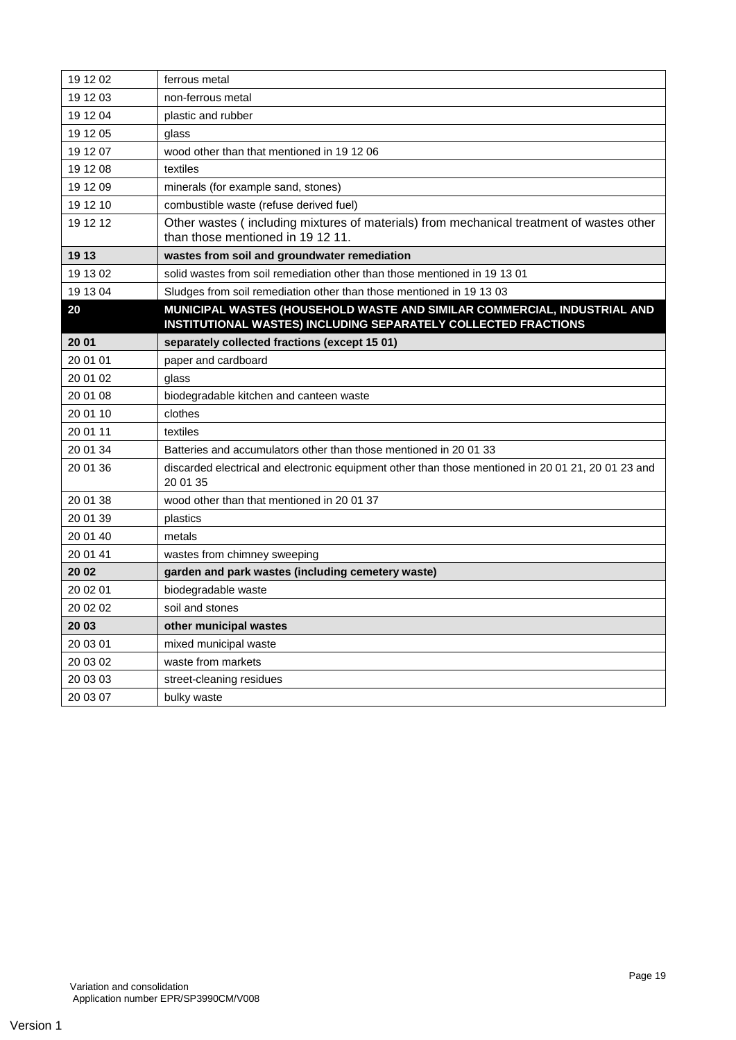| 19 12 02 | ferrous metal                                                                                                                              |
|----------|--------------------------------------------------------------------------------------------------------------------------------------------|
| 19 12 03 | non-ferrous metal                                                                                                                          |
| 19 12 04 | plastic and rubber                                                                                                                         |
| 19 12 05 | glass                                                                                                                                      |
| 19 12 07 | wood other than that mentioned in 19 12 06                                                                                                 |
| 19 12 08 | textiles                                                                                                                                   |
| 19 12 09 | minerals (for example sand, stones)                                                                                                        |
| 19 12 10 | combustible waste (refuse derived fuel)                                                                                                    |
| 19 12 12 | Other wastes (including mixtures of materials) from mechanical treatment of wastes other<br>than those mentioned in 1912 11.               |
| 19 13    | wastes from soil and groundwater remediation                                                                                               |
| 19 13 02 | solid wastes from soil remediation other than those mentioned in 19 13 01                                                                  |
| 19 13 04 | Sludges from soil remediation other than those mentioned in 19 13 03                                                                       |
| 20       | MUNICIPAL WASTES (HOUSEHOLD WASTE AND SIMILAR COMMERCIAL, INDUSTRIAL AND<br>INSTITUTIONAL WASTES) INCLUDING SEPARATELY COLLECTED FRACTIONS |
| 20 01    | separately collected fractions (except 15 01)                                                                                              |
| 20 01 01 | paper and cardboard                                                                                                                        |
| 20 01 02 | glass                                                                                                                                      |
| 20 01 08 | biodegradable kitchen and canteen waste                                                                                                    |
| 20 01 10 | clothes                                                                                                                                    |
| 20 01 11 | textiles                                                                                                                                   |
| 20 01 34 | Batteries and accumulators other than those mentioned in 2001 33                                                                           |
| 20 01 36 | discarded electrical and electronic equipment other than those mentioned in 20 01 21, 20 01 23 and<br>20 01 35                             |
| 20 01 38 | wood other than that mentioned in 2001 37                                                                                                  |
| 20 01 39 | plastics                                                                                                                                   |
| 20 01 40 | metals                                                                                                                                     |
| 20 01 41 | wastes from chimney sweeping                                                                                                               |
| 20 02    | garden and park wastes (including cemetery waste)                                                                                          |
| 20 02 01 | biodegradable waste                                                                                                                        |
| 20 02 02 | soil and stones                                                                                                                            |
| 20 03    | other municipal wastes                                                                                                                     |
| 20 03 01 | mixed municipal waste                                                                                                                      |
| 20 03 02 | waste from markets                                                                                                                         |
| 20 03 03 | street-cleaning residues                                                                                                                   |
| 20 03 07 | bulky waste                                                                                                                                |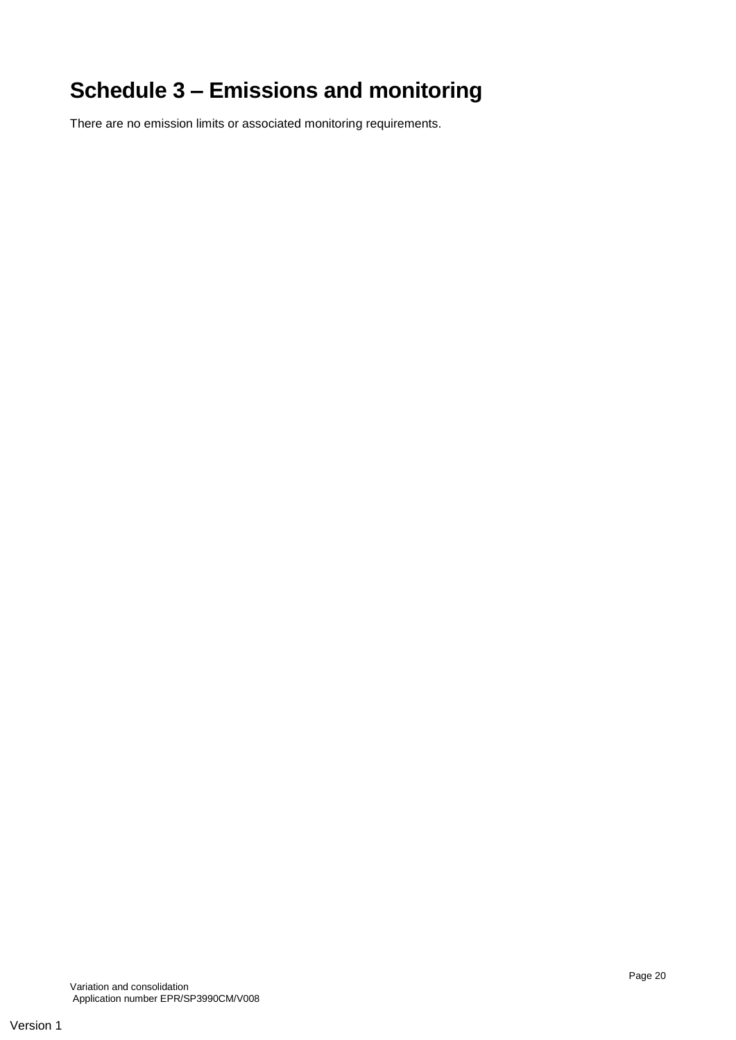# **Schedule 3 – Emissions and monitoring**

There are no emission limits or associated monitoring requirements.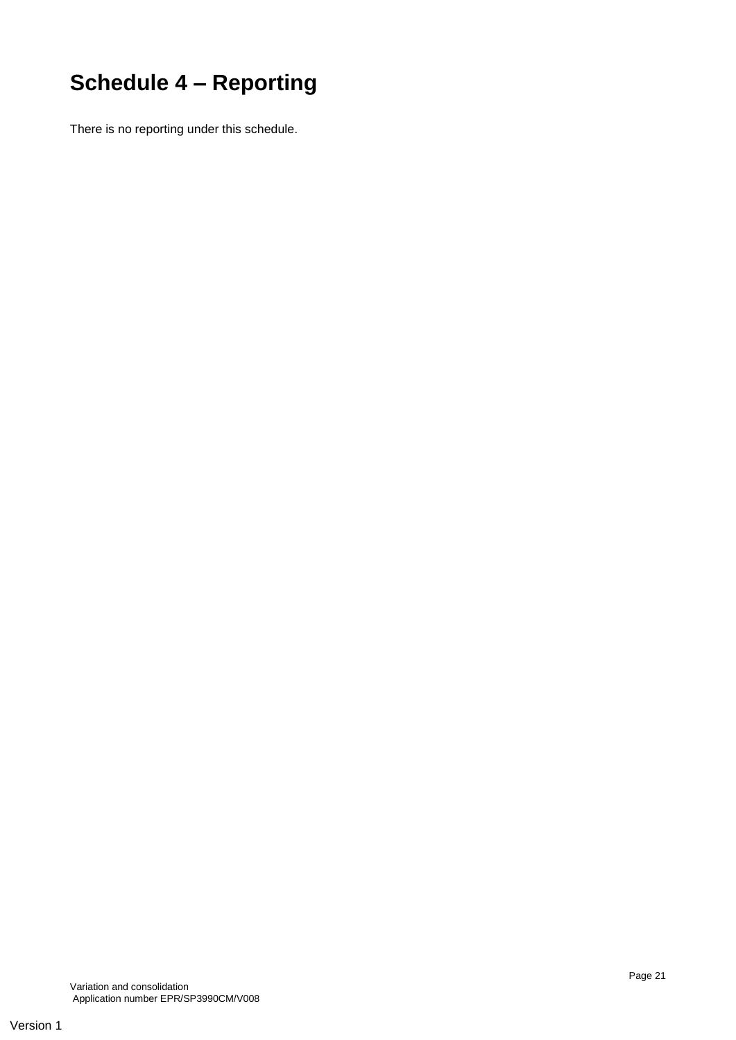# **Schedule 4 – Reporting**

There is no reporting under this schedule.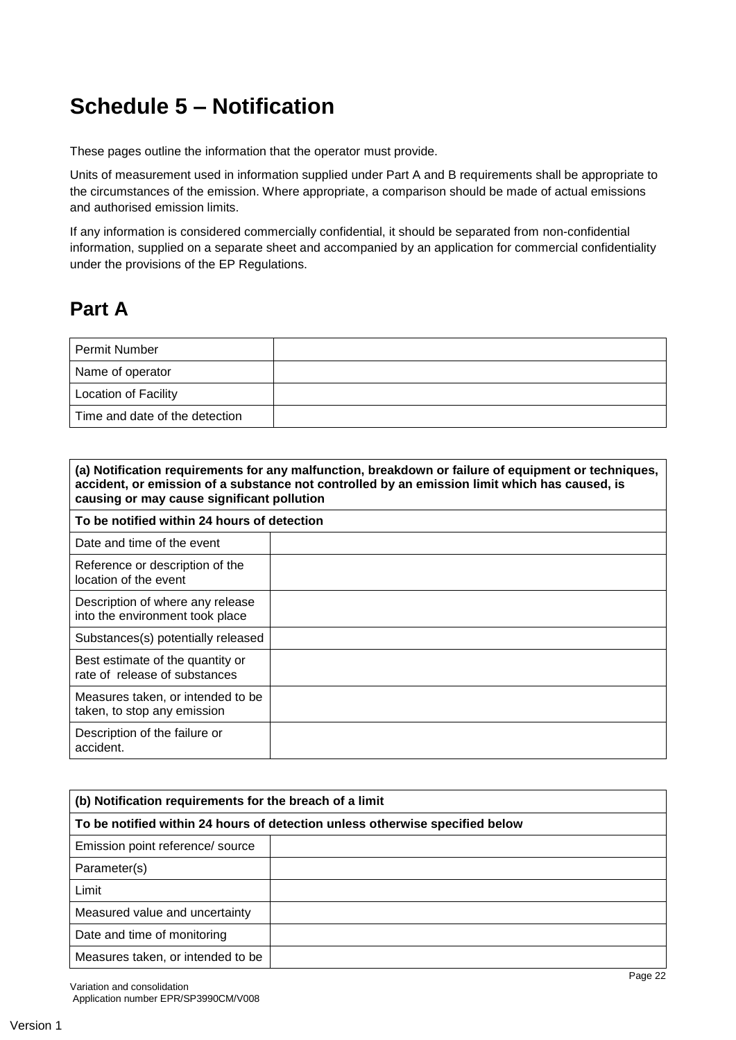# **Schedule 5 – Notification**

These pages outline the information that the operator must provide.

Units of measurement used in information supplied under Part A and B requirements shall be appropriate to the circumstances of the emission. Where appropriate, a comparison should be made of actual emissions and authorised emission limits.

If any information is considered commercially confidential, it should be separated from non-confidential information, supplied on a separate sheet and accompanied by an application for commercial confidentiality under the provisions of the EP Regulations.

## **Part A**

| Permit Number                  |  |
|--------------------------------|--|
| Name of operator               |  |
| <b>Location of Facility</b>    |  |
| Time and date of the detection |  |

| (a) Notification requirements for any malfunction, breakdown or failure of equipment or techniques,<br>accident, or emission of a substance not controlled by an emission limit which has caused, is<br>causing or may cause significant pollution |  |  |  |  |
|----------------------------------------------------------------------------------------------------------------------------------------------------------------------------------------------------------------------------------------------------|--|--|--|--|
| To be notified within 24 hours of detection                                                                                                                                                                                                        |  |  |  |  |
| Date and time of the event                                                                                                                                                                                                                         |  |  |  |  |
| Reference or description of the<br>location of the event                                                                                                                                                                                           |  |  |  |  |
| Description of where any release<br>into the environment took place                                                                                                                                                                                |  |  |  |  |
| Substances(s) potentially released                                                                                                                                                                                                                 |  |  |  |  |
| Best estimate of the quantity or<br>rate of release of substances                                                                                                                                                                                  |  |  |  |  |
| Measures taken, or intended to be<br>taken, to stop any emission                                                                                                                                                                                   |  |  |  |  |
| Description of the failure or<br>accident.                                                                                                                                                                                                         |  |  |  |  |

| (b) Notification requirements for the breach of a limit                      |  |  |  |
|------------------------------------------------------------------------------|--|--|--|
| To be notified within 24 hours of detection unless otherwise specified below |  |  |  |
| Emission point reference/ source                                             |  |  |  |
| Parameter(s)                                                                 |  |  |  |
| Limit                                                                        |  |  |  |
| Measured value and uncertainty                                               |  |  |  |
| Date and time of monitoring                                                  |  |  |  |
| Measures taken, or intended to be                                            |  |  |  |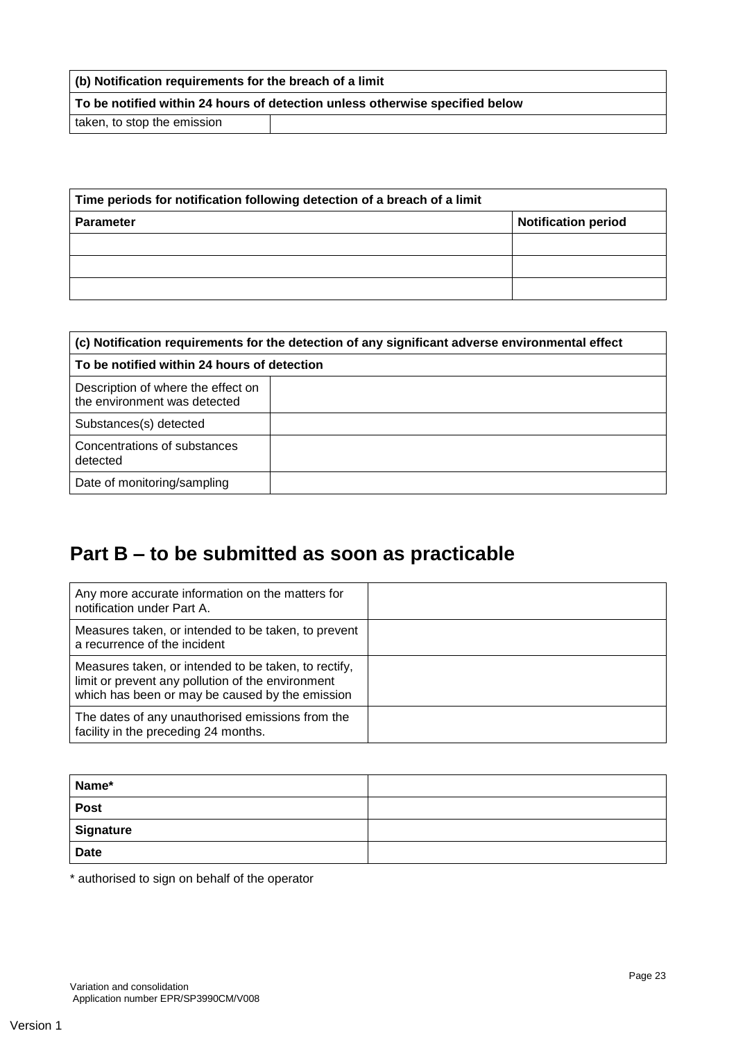| (b) Notification requirements for the breach of a limit                             |  |  |  |
|-------------------------------------------------------------------------------------|--|--|--|
| $\mid$ To be notified within 24 hours of detection unless otherwise specified below |  |  |  |
| taken, to stop the emission                                                         |  |  |  |

| Time periods for notification following detection of a breach of a limit |                            |
|--------------------------------------------------------------------------|----------------------------|
| <b>Parameter</b>                                                         | <b>Notification period</b> |
|                                                                          |                            |
|                                                                          |                            |
|                                                                          |                            |

| (c) Notification requirements for the detection of any significant adverse environmental effect |  |  |
|-------------------------------------------------------------------------------------------------|--|--|
| To be notified within 24 hours of detection                                                     |  |  |
| Description of where the effect on<br>the environment was detected                              |  |  |
| Substances(s) detected                                                                          |  |  |
| Concentrations of substances<br>detected                                                        |  |  |
| Date of monitoring/sampling                                                                     |  |  |

# **Part B – to be submitted as soon as practicable**

| Any more accurate information on the matters for<br>notification under Part A.                                                                               |  |
|--------------------------------------------------------------------------------------------------------------------------------------------------------------|--|
| Measures taken, or intended to be taken, to prevent<br>a recurrence of the incident                                                                          |  |
| Measures taken, or intended to be taken, to rectify,<br>limit or prevent any pollution of the environment<br>which has been or may be caused by the emission |  |
| The dates of any unauthorised emissions from the<br>facility in the preceding 24 months.                                                                     |  |

| Name*       |  |
|-------------|--|
| <b>Post</b> |  |
| Signature   |  |
| <b>Date</b> |  |

\* authorised to sign on behalf of the operator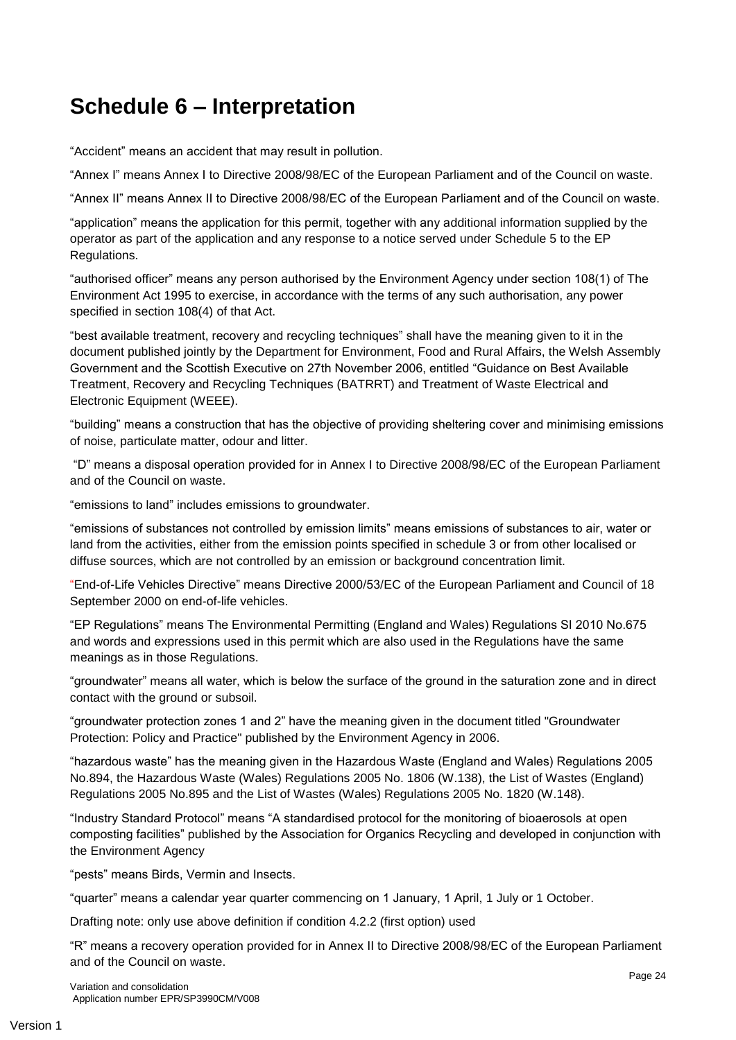# **Schedule 6 – Interpretation**

"Accident" means an accident that may result in pollution.

"Annex I" means Annex I to Directive 2008/98/EC of the European Parliament and of the Council on waste.

"Annex II" means Annex II to Directive 2008/98/EC of the European Parliament and of the Council on waste.

"application" means the application for this permit, together with any additional information supplied by the operator as part of the application and any response to a notice served under Schedule 5 to the EP Regulations.

"authorised officer" means any person authorised by the Environment Agency under section 108(1) of The Environment Act 1995 to exercise, in accordance with the terms of any such authorisation, any power specified in section 108(4) of that Act.

"best available treatment, recovery and recycling techniques" shall have the meaning given to it in the document published jointly by the Department for Environment, Food and Rural Affairs, the Welsh Assembly Government and the Scottish Executive on 27th November 2006, entitled "Guidance on Best Available Treatment, Recovery and Recycling Techniques (BATRRT) and Treatment of Waste Electrical and Electronic Equipment (WEEE).

"building" means a construction that has the objective of providing sheltering cover and minimising emissions of noise, particulate matter, odour and litter.

"D" means a disposal operation provided for in Annex I to Directive 2008/98/EC of the European Parliament and of the Council on waste.

"emissions to land" includes emissions to groundwater.

"emissions of substances not controlled by emission limits" means emissions of substances to air, water or land from the activities, either from the emission points specified in schedule 3 or from other localised or diffuse sources, which are not controlled by an emission or background concentration limit.

"End-of-Life Vehicles Directive" means Directive 2000/53/EC of the European Parliament and Council of 18 September 2000 on end-of-life vehicles.

"EP Regulations" means The Environmental Permitting (England and Wales) Regulations SI 2010 No.675 and words and expressions used in this permit which are also used in the Regulations have the same meanings as in those Regulations.

"groundwater" means all water, which is below the surface of the ground in the saturation zone and in direct contact with the ground or subsoil.

"groundwater protection zones 1 and 2" have the meaning given in the document titled "Groundwater Protection: Policy and Practice" published by the Environment Agency in 2006.

"hazardous waste" has the meaning given in the Hazardous Waste (England and Wales) Regulations 2005 No.894, the Hazardous Waste (Wales) Regulations 2005 No. 1806 (W.138), the List of Wastes (England) Regulations 2005 No.895 and the List of Wastes (Wales) Regulations 2005 No. 1820 (W.148).

"Industry Standard Protocol" means "A standardised protocol for the monitoring of bioaerosols at open composting facilities" published by the Association for Organics Recycling and developed in conjunction with the Environment Agency

"pests" means Birds, Vermin and Insects.

"quarter" means a calendar year quarter commencing on 1 January, 1 April, 1 July or 1 October.

Drafting note: only use above definition if condition 4.2.2 (first option) used

"R" means a recovery operation provided for in Annex II to Directive 2008/98/EC of the European Parliament and of the Council on waste.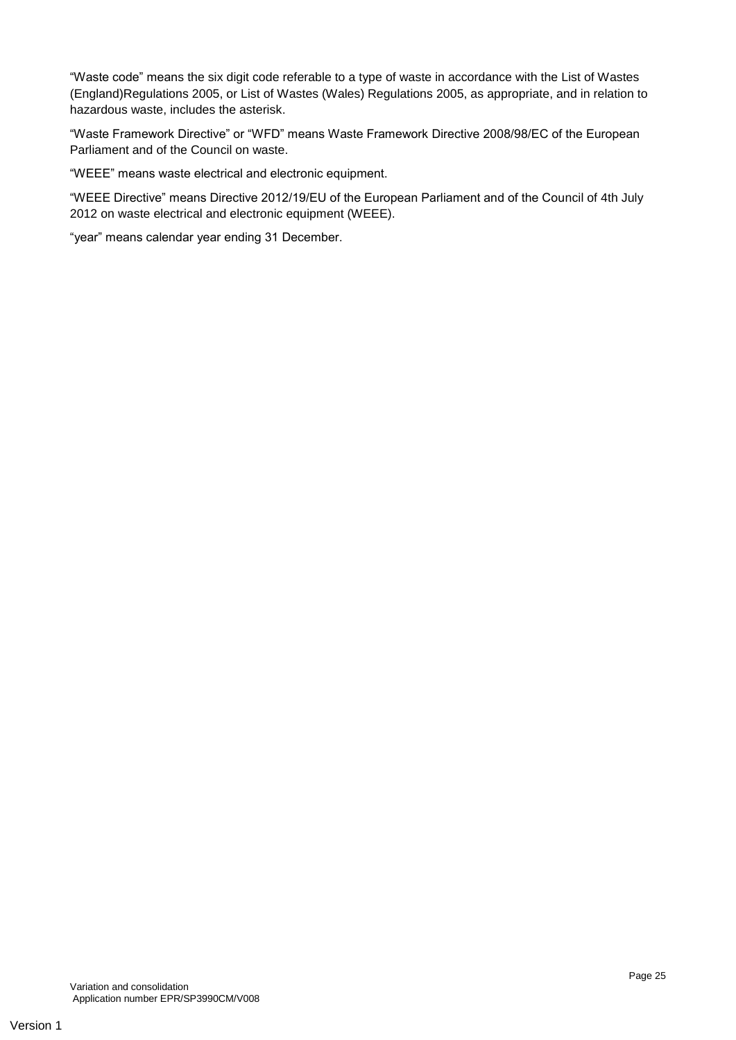"Waste code" means the six digit code referable to a type of waste in accordance with the List of Wastes (England)Regulations 2005, or List of Wastes (Wales) Regulations 2005, as appropriate, and in relation to hazardous waste, includes the asterisk.

"Waste Framework Directive" or "WFD" means Waste Framework Directive 2008/98/EC of the European Parliament and of the Council on waste.

"WEEE" means waste electrical and electronic equipment.

"WEEE Directive" means Directive 2012/19/EU of the European Parliament and of the Council of 4th July 2012 on waste electrical and electronic equipment (WEEE).

"year" means calendar year ending 31 December.